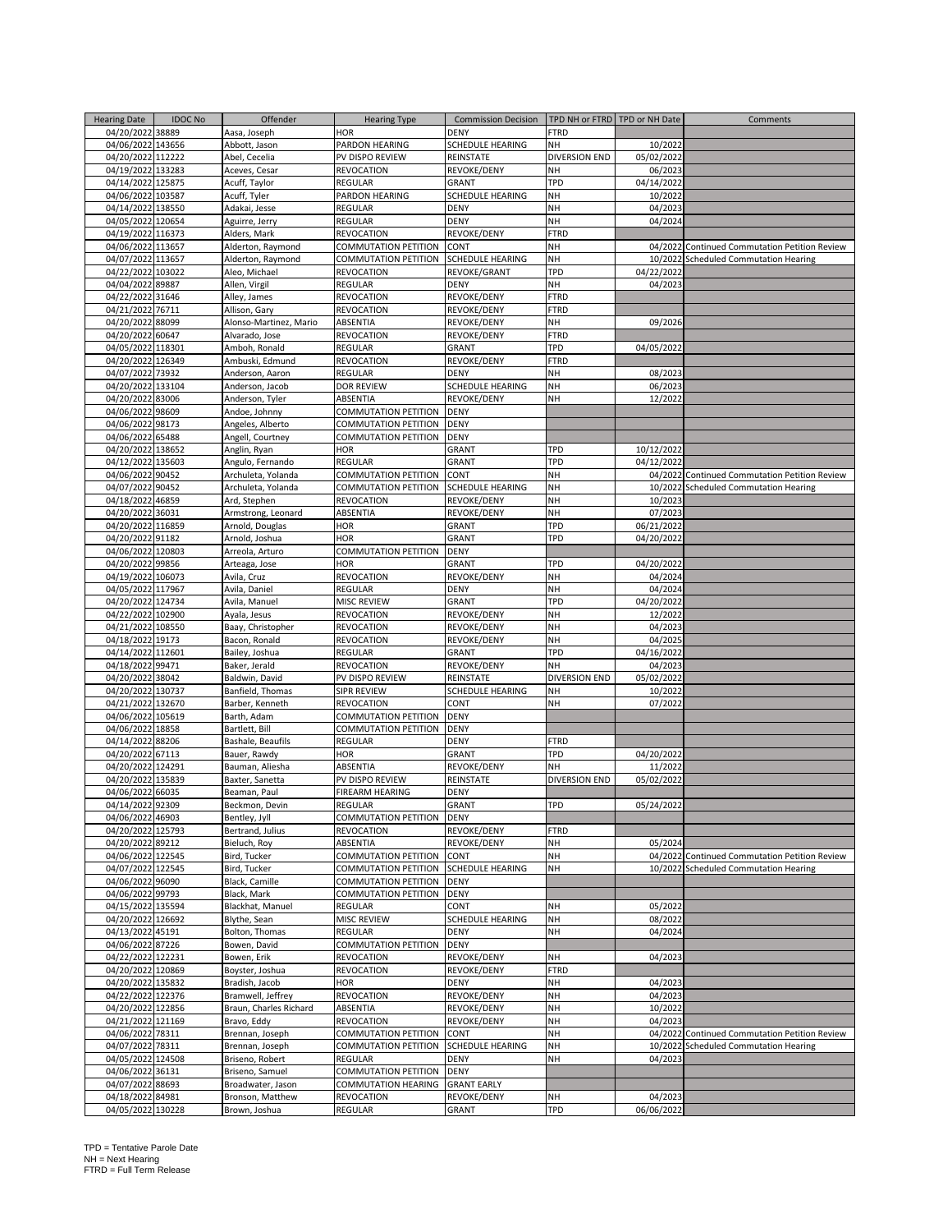| <b>Hearing Date</b> | <b>IDOC No</b> | Offender               | <b>Hearing Type</b>  | <b>Commission Decision</b> | TPD NH or FTRD TPD or NH Date |            | Comments                                      |
|---------------------|----------------|------------------------|----------------------|----------------------------|-------------------------------|------------|-----------------------------------------------|
| 04/20/2022 38889    |                | Aasa, Joseph           | <b>HOR</b>           | DENY                       | FTRD                          |            |                                               |
| 04/06/2022 143656   |                | Abbott, Jason          | PARDON HEARING       | SCHEDULE HEARING           | NΗ                            | 10/2022    |                                               |
| 04/20/2022 112222   |                | Abel, Cecelia          | PV DISPO REVIEW      | REINSTATE                  | <b>DIVERSION END</b>          | 05/02/2022 |                                               |
| 04/19/2022 133283   |                |                        |                      |                            | NH                            |            |                                               |
|                     |                | Aceves, Cesar          | <b>REVOCATION</b>    | REVOKE/DENY                |                               | 06/2023    |                                               |
| 04/14/2022 125875   |                | Acuff, Taylor          | REGULAR              | GRANT                      | TPD                           | 04/14/2022 |                                               |
| 04/06/2022 103587   |                | Acuff, Tyler           | PARDON HEARING       | SCHEDULE HEARING           | NH                            | 10/2022    |                                               |
| 04/14/2022 138550   |                | Adakai, Jesse          | REGULAR              | <b>DENY</b>                | NH                            | 04/2023    |                                               |
| 04/05/2022 120654   |                | Aguirre, Jerry         | REGULAR              | <b>DENY</b>                | NH                            | 04/2024    |                                               |
| 04/19/2022 116373   |                | Alders, Mark           | REVOCATION           | REVOKE/DENY                | FTRD                          |            |                                               |
| 04/06/2022 113657   |                | Alderton, Raymond      | COMMUTATION PETITION | CONT                       | NH                            |            | 04/2022 Continued Commutation Petition Review |
| 04/07/2022 113657   |                | Alderton, Raymond      | COMMUTATION PETITION | <b>SCHEDULE HEARING</b>    | NΗ                            |            | 10/2022 Scheduled Commutation Hearing         |
| 04/22/2022 103022   |                | Aleo, Michael          | REVOCATION           | REVOKE/GRANT               | TPD                           | 04/22/2022 |                                               |
| 04/04/2022 89887    |                | Allen, Virgil          | REGULAR              | <b>DENY</b>                | NH                            | 04/2023    |                                               |
| 04/22/2022 31646    |                | Alley, James           | <b>REVOCATION</b>    | REVOKE/DENY                | <b>FTRD</b>                   |            |                                               |
| 04/21/2022 76711    |                | Allison, Gary          | <b>REVOCATION</b>    | REVOKE/DENY                | <b>FTRD</b>                   |            |                                               |
| 04/20/2022 88099    |                | Alonso-Martinez, Mario | ABSENTIA             | REVOKE/DENY                | NΗ                            | 09/2026    |                                               |
| 04/20/2022 60647    |                | Alvarado, Jose         | REVOCATION           | REVOKE/DENY                | FTRD                          |            |                                               |
| 04/05/2022 118301   |                | Amboh, Ronald          | REGULAR              | <b>GRANT</b>               | TPD                           | 04/05/2022 |                                               |
| 04/20/2022 126349   |                |                        |                      |                            | <b>FTRD</b>                   |            |                                               |
|                     |                | Ambuski, Edmund        | REVOCATION           | REVOKE/DENY                |                               |            |                                               |
| 04/07/2022 73932    |                | Anderson, Aaron        | REGULAR              | <b>DENY</b>                | NH                            | 08/2023    |                                               |
| 04/20/2022 133104   |                | Anderson, Jacob        | <b>DOR REVIEW</b>    | SCHEDULE HEARING           | NH                            | 06/2023    |                                               |
| 04/20/2022 83006    |                | Anderson, Tyler        | ABSENTIA             | REVOKE/DENY                | NH                            | 12/2022    |                                               |
| 04/06/2022 98609    |                | Andoe, Johnny          | COMMUTATION PETITION | <b>DENY</b>                |                               |            |                                               |
| 04/06/2022 98173    |                | Angeles, Alberto       | COMMUTATION PETITION | DENY                       |                               |            |                                               |
| 04/06/2022 65488    |                | Angell, Courtney       | COMMUTATION PETITION | <b>DENY</b>                |                               |            |                                               |
| 04/20/2022 138652   |                | Anglin, Ryan           | HOR                  | <b>GRANT</b>               | TPD                           | 10/12/2022 |                                               |
| 04/12/2022 135603   |                | Angulo, Fernando       | REGULAR              | <b>GRANT</b>               | TPD                           | 04/12/2022 |                                               |
| 04/06/2022 90452    |                | Archuleta, Yolanda     | COMMUTATION PETITION | CONT                       | NH                            |            | 04/2022 Continued Commutation Petition Review |
| 04/07/2022 90452    |                | Archuleta, Yolanda     | COMMUTATION PETITION | <b>SCHEDULE HEARING</b>    | NH                            | 10/2022    | <b>Scheduled Commutation Hearing</b>          |
| 04/18/2022 46859    |                | Ard, Stephen           | REVOCATION           | REVOKE/DENY                | NH                            | 10/2023    |                                               |
| 04/20/2022 36031    |                | Armstrong, Leonard     | ABSENTIA             | REVOKE/DENY                | NH                            | 07/2023    |                                               |
| 04/20/2022 116859   |                | Arnold, Douglas        | HOR                  |                            | TPD                           | 06/21/2022 |                                               |
|                     |                |                        |                      | <b>GRANT</b>               |                               |            |                                               |
| 04/20/2022 91182    |                | Arnold, Joshua         | HOR                  | <b>GRANT</b>               | TPD                           | 04/20/2022 |                                               |
| 04/06/2022 120803   |                | Arreola, Arturo        | COMMUTATION PETITION | DENY                       |                               |            |                                               |
| 04/20/2022 99856    |                | Arteaga, Jose          | HOR                  | <b>GRANT</b>               | TPD                           | 04/20/2022 |                                               |
| 04/19/2022 106073   |                | Avila, Cruz            | REVOCATION           | REVOKE/DENY                | NΗ                            | 04/2024    |                                               |
| 04/05/2022 117967   |                | Avila, Daniel          | REGULAR              | DENY                       | NH                            | 04/2024    |                                               |
| 04/20/2022 124734   |                | Avila, Manuel          | MISC REVIEW          | <b>GRANT</b>               | TPD                           | 04/20/2022 |                                               |
| 04/22/2022 102900   |                | Ayala, Jesus           | REVOCATION           | REVOKE/DENY                | NH                            | 12/2022    |                                               |
| 04/21/2022 108550   |                | Baay, Christopher      | REVOCATION           | REVOKE/DENY                | NH                            | 04/2023    |                                               |
| 04/18/2022 19173    |                | Bacon, Ronald          | REVOCATION           | REVOKE/DENY                | NH                            | 04/2025    |                                               |
| 04/14/2022 112601   |                | Bailey, Joshua         | REGULAR              | GRANT                      | TPD                           | 04/16/2022 |                                               |
| 04/18/2022 99471    |                | Baker, Jerald          | REVOCATION           | REVOKE/DENY                | NΗ                            | 04/2023    |                                               |
| 04/20/2022 38042    |                | Baldwin, David         | PV DISPO REVIEW      | REINSTATE                  | <b>DIVERSION END</b>          | 05/02/2022 |                                               |
| 04/20/2022 130737   |                |                        | SIPR REVIEW          | SCHEDULE HEARING           | NH                            |            |                                               |
|                     |                | Banfield, Thomas       |                      |                            |                               | 10/2022    |                                               |
| 04/21/2022 132670   |                | Barber, Kenneth        | REVOCATION           | CONT                       | NH                            | 07/2022    |                                               |
| 04/06/2022 105619   |                | Barth, Adam            | COMMUTATION PETITION | <b>DENY</b>                |                               |            |                                               |
| 04/06/2022 18858    |                | Bartlett, Bill         | COMMUTATION PETITION | DENY                       |                               |            |                                               |
| 04/14/2022 88206    |                | Bashale, Beaufils      | REGULAR              | DENY                       | FTRD                          |            |                                               |
| 04/20/2022 67113    |                | Bauer, Rawdy           | HOR                  | GRANT                      | TPD                           | 04/20/2022 |                                               |
| 04/20/2022 124291   |                | Bauman, Aliesha        | ABSENTIA             | REVOKE/DENY                | NΗ                            | 11/2022    |                                               |
| 04/20/2022 135839   |                | Baxter, Sanetta        | PV DISPO REVIEW      | REINSTATE                  | DIVERSION END                 | 05/02/2022 |                                               |
| 04/06/2022 66035    |                | Beaman, Paul           | FIREARM HEARING      | DENY                       |                               |            |                                               |
| 04/14/2022 92309    |                | Beckmon, Devin         | REGULAR              | GRANT                      | <b>TPD</b>                    | 05/24/2022 |                                               |
| 04/06/2022 46903    |                | Bentley, Jyll          | COMMUTATION PETITION | <b>DENY</b>                |                               |            |                                               |
| 04/20/2022 125793   |                | Bertrand, Julius       | REVOCATION           | REVOKE/DENY                | <b>FTRD</b>                   |            |                                               |
| 04/20/2022 89212    |                | Bieluch, Roy           | ABSENTIA             | REVOKE/DENY                | NH                            | 05/2024    |                                               |
| 04/06/2022 122545   |                | Bird, Tucker           | COMMUTATION PETITION | CONT                       | NH                            |            | 04/2022 Continued Commutation Petition Review |
| 04/07/2022 122545   |                | Bird, Tucker           | COMMUTATION PETITION | SCHEDULE HEARING           | NH                            |            | 10/2022 Scheduled Commutation Hearing         |
| 04/06/2022 96090    |                | Black, Camille         | COMMUTATION PETITION |                            |                               |            |                                               |
|                     |                |                        |                      | <b>DENY</b>                |                               |            |                                               |
| 04/06/2022 99793    |                | Black, Mark            | COMMUTATION PETITION | <b>DENY</b>                |                               |            |                                               |
| 04/15/2022 135594   |                | Blackhat, Manuel       | REGULAR              | CONT                       | NH                            | 05/2022    |                                               |
| 04/20/2022 126692   |                | Blythe, Sean           | MISC REVIEW          | SCHEDULE HEARING           | NH                            | 08/2022    |                                               |
| 04/13/2022 45191    |                | Bolton, Thomas         | <b>REGULAR</b>       | <b>DENY</b>                | NH                            | 04/2024    |                                               |
| 04/06/2022 87226    |                | Bowen, David           | COMMUTATION PETITION | DENY                       |                               |            |                                               |
| 04/22/2022 122231   |                | Bowen, Erik            | REVOCATION           | REVOKE/DENY                | NH                            | 04/2023    |                                               |
| 04/20/2022 120869   |                | Boyster, Joshua        | REVOCATION           | REVOKE/DENY                | <b>FTRD</b>                   |            |                                               |
| 04/20/2022 135832   |                | Bradish, Jacob         | <b>HOR</b>           | <b>DENY</b>                | NΗ                            | 04/2023    |                                               |
| 04/22/2022 122376   |                | Bramwell, Jeffrey      | REVOCATION           | REVOKE/DENY                | NH                            | 04/2023    |                                               |
| 04/20/2022 122856   |                | Braun, Charles Richard | ABSENTIA             | REVOKE/DENY                | NH                            | 10/2022    |                                               |
| 04/21/2022 121169   |                | Bravo, Eddy            | REVOCATION           | REVOKE/DENY                | NH                            | 04/2023    |                                               |
| 04/06/2022 78311    |                | Brennan, Joseph        | COMMUTATION PETITION | CONT                       | NH                            |            | 04/2022 Continued Commutation Petition Review |
| 04/07/2022 78311    |                | Brennan, Joseph        | COMMUTATION PETITION | SCHEDULE HEARING           | NH                            | 10/2022    | <b>Scheduled Commutation Hearing</b>          |
|                     |                |                        |                      |                            |                               |            |                                               |
| 04/05/2022 124508   |                | Briseno, Robert        | REGULAR              | <b>DENY</b>                | NH                            | 04/2023    |                                               |
| 04/06/2022 36131    |                | Briseno, Samuel        | COMMUTATION PETITION | <b>DENY</b>                |                               |            |                                               |
| 04/07/2022 88693    |                | Broadwater, Jason      | COMMUTATION HEARING  | <b>GRANT EARLY</b>         |                               |            |                                               |
| 04/18/2022 84981    |                | Bronson, Matthew       | REVOCATION           | REVOKE/DENY                | NH                            | 04/2023    |                                               |
| 04/05/2022 130228   |                | Brown, Joshua          | REGULAR              | GRANT                      | TPD                           | 06/06/2022 |                                               |

TPD = Tentative Parole Date NH = Next Hearing FTRD = Full Term Release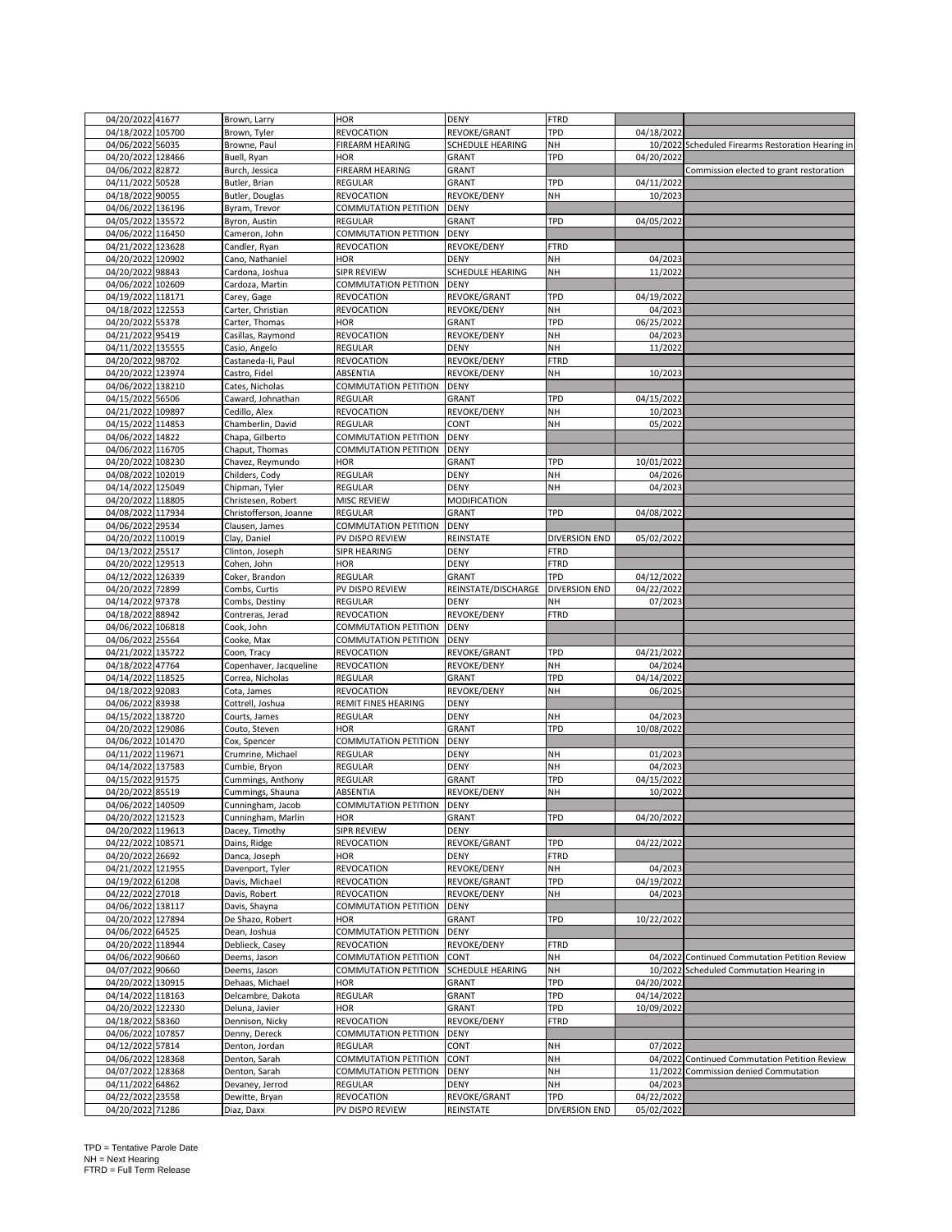| 04/20/2022 41677     | Brown, Larry           | HOR                  | <b>DENY</b>             | <b>FTRD</b>          |            |                                                   |
|----------------------|------------------------|----------------------|-------------------------|----------------------|------------|---------------------------------------------------|
| 04/18/2022 105700    | Brown, Tyler           | REVOCATION           | REVOKE/GRANT            | TPD                  | 04/18/2022 |                                                   |
| 04/06/2022 56035     | Browne, Paul           | FIREARM HEARING      | SCHEDULE HEARING        | NH                   |            | 10/2022 Scheduled Firearms Restoration Hearing in |
|                      |                        |                      |                         |                      |            |                                                   |
| 04/20/2022<br>128466 | Buell, Ryan            | <b>HOR</b>           | <b>GRANT</b>            | TPD                  | 04/20/2022 |                                                   |
| 04/06/2022 82872     | Burch, Jessica         | FIREARM HEARING      | <b>GRANT</b>            |                      |            | Commission elected to grant restoration           |
|                      |                        |                      |                         |                      |            |                                                   |
| 04/11/2022<br>50528  | Butler, Brian          | REGULAR              | <b>GRANT</b>            | TPD                  | 04/11/2022 |                                                   |
| 04/18/2022 90055     | Butler, Douglas        | REVOCATION           | REVOKE/DENY             | NH                   | 10/2023    |                                                   |
| 04/06/2022 136196    | Byram, Trevor          | COMMUTATION PETITION | <b>DENY</b>             |                      |            |                                                   |
|                      |                        |                      |                         |                      |            |                                                   |
| 04/05/2022 135572    | Byron, Austin          | REGULAR              | <b>GRANT</b>            | TPD                  | 04/05/2022 |                                                   |
| 04/06/2022 116450    | Cameron, John          | COMMUTATION PETITION | <b>DENY</b>             |                      |            |                                                   |
|                      |                        |                      |                         |                      |            |                                                   |
| 04/21/2022 123628    | Candler, Ryan          | REVOCATION           | REVOKE/DENY             | FTRD                 |            |                                                   |
| 04/20/2022<br>120902 | Cano, Nathaniel        | HOR                  | <b>DENY</b>             | NH                   | 04/2023    |                                                   |
| 04/20/2022<br>98843  | Cardona, Joshua        | SIPR REVIEW          | SCHEDULE HEARING        | NH                   | 11/2022    |                                                   |
|                      |                        |                      |                         |                      |            |                                                   |
| 04/06/2022<br>102609 | Cardoza, Martin        | COMMUTATION PETITION | <b>DENY</b>             |                      |            |                                                   |
| 04/19/2022<br>118171 | Carey, Gage            | REVOCATION           | REVOKE/GRANT            | TPD                  | 04/19/2022 |                                                   |
|                      |                        |                      |                         |                      |            |                                                   |
| 04/18/2022 122553    | Carter, Christian      | REVOCATION           | REVOKE/DENY             | NH                   | 04/2023    |                                                   |
| 04/20/2022 55378     | Carter, Thomas         | HOR                  | <b>GRANT</b>            | TPD                  | 06/25/2022 |                                                   |
| 04/21/2022 95419     | Casillas, Raymond      | REVOCATION           | REVOKE/DENY             | NH                   | 04/2023    |                                                   |
|                      |                        |                      |                         |                      |            |                                                   |
| 04/11/2022 135555    | Casio, Angelo          | REGULAR              | <b>DENY</b>             | NH                   | 11/2022    |                                                   |
| 04/20/2022 98702     | Castaneda-Ii, Paul     | REVOCATION           | REVOKE/DENY             | <b>FTRD</b>          |            |                                                   |
|                      |                        |                      |                         |                      |            |                                                   |
| 04/20/2022 123974    | Castro, Fidel          | ABSENTIA             | REVOKE/DENY             | NH                   | 10/2023    |                                                   |
| 04/06/2022 138210    | Cates, Nicholas        | COMMUTATION PETITION | <b>DENY</b>             |                      |            |                                                   |
| 04/15/2022<br>56506  | Caward, Johnathan      | REGULAR              | GRANT                   | TPD                  | 04/15/2022 |                                                   |
|                      |                        |                      |                         |                      |            |                                                   |
| 04/21/2022<br>109897 | Cedillo, Alex          | REVOCATION           | REVOKE/DENY             | NΗ                   | 10/2023    |                                                   |
| 04/15/2022 114853    | Chamberlin, David      | <b>REGULAR</b>       | CONT                    | NΗ                   | 05/2022    |                                                   |
|                      |                        |                      |                         |                      |            |                                                   |
| 04/06/2022 14822     | Chapa, Gilberto        | COMMUTATION PETITION | <b>DENY</b>             |                      |            |                                                   |
| 04/06/2022 116705    | Chaput, Thomas         | COMMUTATION PETITION | <b>DENY</b>             |                      |            |                                                   |
| 04/20/2022 108230    |                        | HOR                  |                         | TPD                  |            |                                                   |
|                      | Chavez, Reymundo       |                      | <b>GRANT</b>            |                      | 10/01/2022 |                                                   |
| 04/08/2022 102019    | Childers, Cody         | <b>REGULAR</b>       | <b>DENY</b>             | NH                   | 04/2026    |                                                   |
| 04/14/2022 125049    | Chipman, Tyler         | REGULAR              | <b>DENY</b>             | NH                   | 04/2023    |                                                   |
|                      |                        |                      |                         |                      |            |                                                   |
| 04/20/2022 118805    | Christesen, Robert     | MISC REVIEW          | MODIFICATION            |                      |            |                                                   |
| 04/08/2022 117934    | Christofferson, Joanne | REGULAR              | <b>GRANT</b>            | TPD                  | 04/08/2022 |                                                   |
|                      |                        |                      |                         |                      |            |                                                   |
| 04/06/2022 29534     | Clausen, James         | COMMUTATION PETITION | <b>DENY</b>             |                      |            |                                                   |
| 110019<br>04/20/2022 | Clay, Daniel           | PV DISPO REVIEW      | REINSTATE               | DIVERSION END        | 05/02/2022 |                                                   |
| 04/13/2022 25517     |                        | SIPR HEARING         | <b>DENY</b>             | <b>FTRD</b>          |            |                                                   |
|                      | Clinton, Joseph        |                      |                         |                      |            |                                                   |
| 04/20/2022 129513    | Cohen, John            | <b>HOR</b>           | <b>DENY</b>             | <b>FTRD</b>          |            |                                                   |
| 04/12/2022 126339    | Coker, Brandon         | REGULAR              | GRANT                   | TPD                  | 04/12/2022 |                                                   |
|                      |                        |                      |                         |                      |            |                                                   |
| 04/20/2022 72899     | Combs, Curtis          | PV DISPO REVIEW      | REINSTATE/DISCHARGE     | <b>DIVERSION END</b> | 04/22/2022 |                                                   |
| 04/14/2022 97378     | Combs, Destiny         | <b>REGULAR</b>       | <b>DENY</b>             | NΗ                   | 07/2023    |                                                   |
|                      |                        |                      |                         |                      |            |                                                   |
| 04/18/2022<br>88942  | Contreras, Jerad       | REVOCATION           | REVOKE/DENY             | <b>FTRD</b>          |            |                                                   |
| 04/06/2022 106818    | Cook, John             | COMMUTATION PETITION | <b>DENY</b>             |                      |            |                                                   |
| 04/06/2022 25564     | Cooke, Max             | COMMUTATION PETITION | <b>DENY</b>             |                      |            |                                                   |
|                      |                        |                      |                         |                      |            |                                                   |
| 04/21/2022 135722    | Coon, Tracy            | REVOCATION           | REVOKE/GRANT            | TPD                  | 04/21/2022 |                                                   |
| 04/18/2022 47764     | Copenhaver, Jacqueline | REVOCATION           | REVOKE/DENY             | NH                   | 04/2024    |                                                   |
|                      |                        |                      |                         |                      |            |                                                   |
| 04/14/2022 118525    | Correa, Nicholas       | REGULAR              | GRANT                   | TPD                  | 04/14/2022 |                                                   |
| 04/18/2022<br>92083  | Cota, James            | REVOCATION           | REVOKE/DENY             | NH                   | 06/2025    |                                                   |
| 04/06/2022 83938     | Cottrell, Joshua       | REMIT FINES HEARING  | <b>DENY</b>             |                      |            |                                                   |
|                      |                        |                      |                         |                      |            |                                                   |
| 04/15/2022 138720    | Courts, James          | REGULAR              | <b>DENY</b>             | NH                   | 04/2023    |                                                   |
| 04/20/2022 129086    | Couto, Steven          | <b>HOR</b>           | GRANT                   | TPD                  | 10/08/2022 |                                                   |
|                      |                        |                      |                         |                      |            |                                                   |
| 04/06/2022 101470    | Cox, Spencer           | COMMUTATION PETITION | <b>DENY</b>             |                      |            |                                                   |
| 04/11/2022 119671    | Crumrine, Michael      | REGULAR              | DENY                    | NΗ                   |            |                                                   |
| 04/14/2022 137583    | Cumbie, Bryon          | REGULAR              | <b>DENY</b>             |                      |            |                                                   |
|                      |                        |                      |                         |                      | 01/2023    |                                                   |
| 04/15/2022 91575     | Cummings, Anthony      | REGULAR              |                         | NH                   | 04/2023    |                                                   |
| 04/20/2022 85519     |                        |                      | <b>GRANT</b>            | TPD                  | 04/15/2022 |                                                   |
|                      |                        |                      |                         |                      |            |                                                   |
|                      | Cummings, Shauna       | ABSENTIA             | REVOKE/DENY             | NH                   | 10/2022    |                                                   |
| 04/06/2022 140509    | Cunningham, Jacob      | COMMUTATION PETITION | <b>DENY</b>             |                      |            |                                                   |
| 04/20/2022 121523    | Cunningham, Marlin     | HOR                  | GRANT                   | TPD                  | 04/20/2022 |                                                   |
|                      |                        |                      |                         |                      |            |                                                   |
| 04/20/2022 119613    | Dacey, Timothy         | SIPR REVIEW          | DENY                    |                      |            |                                                   |
| 04/22/2022 108571    | Dains, Ridge           | REVOCATION           | REVOKE/GRANT            | TPD                  | 04/22/2022 |                                                   |
| 04/20/2022 26692     | Danca, Joseph          | HOR                  | <b>DENY</b>             | <b>FTRD</b>          |            |                                                   |
|                      |                        |                      |                         |                      |            |                                                   |
| 04/21/2022 121955    | Davenport, Tyler       | REVOCATION           | REVOKE/DENY             | NH                   | 04/2023    |                                                   |
| 04/19/2022 61208     | Davis, Michael         | REVOCATION           | REVOKE/GRANT            | TPD                  | 04/19/2022 |                                                   |
|                      |                        |                      |                         |                      |            |                                                   |
| 04/22/2022<br>27018  | Davis, Robert          | REVOCATION           | REVOKE/DENY             | NH                   | 04/2023    |                                                   |
| 04/06/2022 138117    | Davis, Shayna          | COMMUTATION PETITION | <b>DENY</b>             |                      |            |                                                   |
| 04/20/2022 127894    | De Shazo, Robert       | <b>HOR</b>           | <b>GRANT</b>            | TPD                  | 10/22/2022 |                                                   |
|                      |                        |                      |                         |                      |            |                                                   |
| 04/06/2022 64525     | Dean, Joshua           | COMMUTATION PETITION | <b>DENY</b>             |                      |            |                                                   |
| 04/20/2022 118944    | Deblieck, Casey        | <b>REVOCATION</b>    | REVOKE/DENY             | <b>FTRD</b>          |            |                                                   |
|                      | Deems, Jason           |                      |                         |                      |            |                                                   |
| 04/06/2022 90660     |                        | COMMUTATION PETITION | CONT                    | NH                   |            | 04/2022 Continued Commutation Petition Review     |
| 04/07/2022 90660     | Deems, Jason           | COMMUTATION PETITION | <b>SCHEDULE HEARING</b> | NΗ                   |            | 10/2022 Scheduled Commutation Hearing in          |
| 04/20/2022 130915    | Dehaas, Michael        | <b>HOR</b>           | <b>GRANT</b>            | TPD                  | 04/20/2022 |                                                   |
|                      |                        |                      |                         |                      |            |                                                   |
| 04/14/2022 118163    | Delcambre, Dakota      | REGULAR              | <b>GRANT</b>            | TPD                  | 04/14/2022 |                                                   |
| 04/20/2022 122330    | Deluna, Javier         | HOR                  | <b>GRANT</b>            | TPD                  | 10/09/2022 |                                                   |
|                      |                        |                      |                         |                      |            |                                                   |
| 04/18/2022 58360     | Dennison, Nicky        | REVOCATION           | REVOKE/DENY             | <b>FTRD</b>          |            |                                                   |
| 04/06/2022<br>107857 | Denny, Dereck          | COMMUTATION PETITION | <b>DENY</b>             |                      |            |                                                   |
| 04/12/2022 57814     | Denton, Jordan         | REGULAR              | CONT                    | NΗ                   | 07/2022    |                                                   |
|                      |                        |                      |                         |                      |            |                                                   |
| 04/06/2022 128368    | Denton, Sarah          | COMMUTATION PETITION | CONT                    | NH                   |            | 04/2022 Continued Commutation Petition Review     |
| 04/07/2022 128368    | Denton, Sarah          | COMMUTATION PETITION | <b>DENY</b>             | NH                   |            | 11/2022 Commission denied Commutation             |
|                      |                        |                      |                         |                      |            |                                                   |
| 04/11/2022 64862     | Devaney, Jerrod        | <b>REGULAR</b>       | <b>DENY</b>             | NH                   | 04/2023    |                                                   |
| 04/22/2022 23558     | Dewitte, Bryan         | REVOCATION           | REVOKE/GRANT            | TPD                  | 04/22/2022 |                                                   |
| 04/20/2022 71286     | Diaz, Daxx             | PV DISPO REVIEW      | REINSTATE               | DIVERSION END        | 05/02/2022 |                                                   |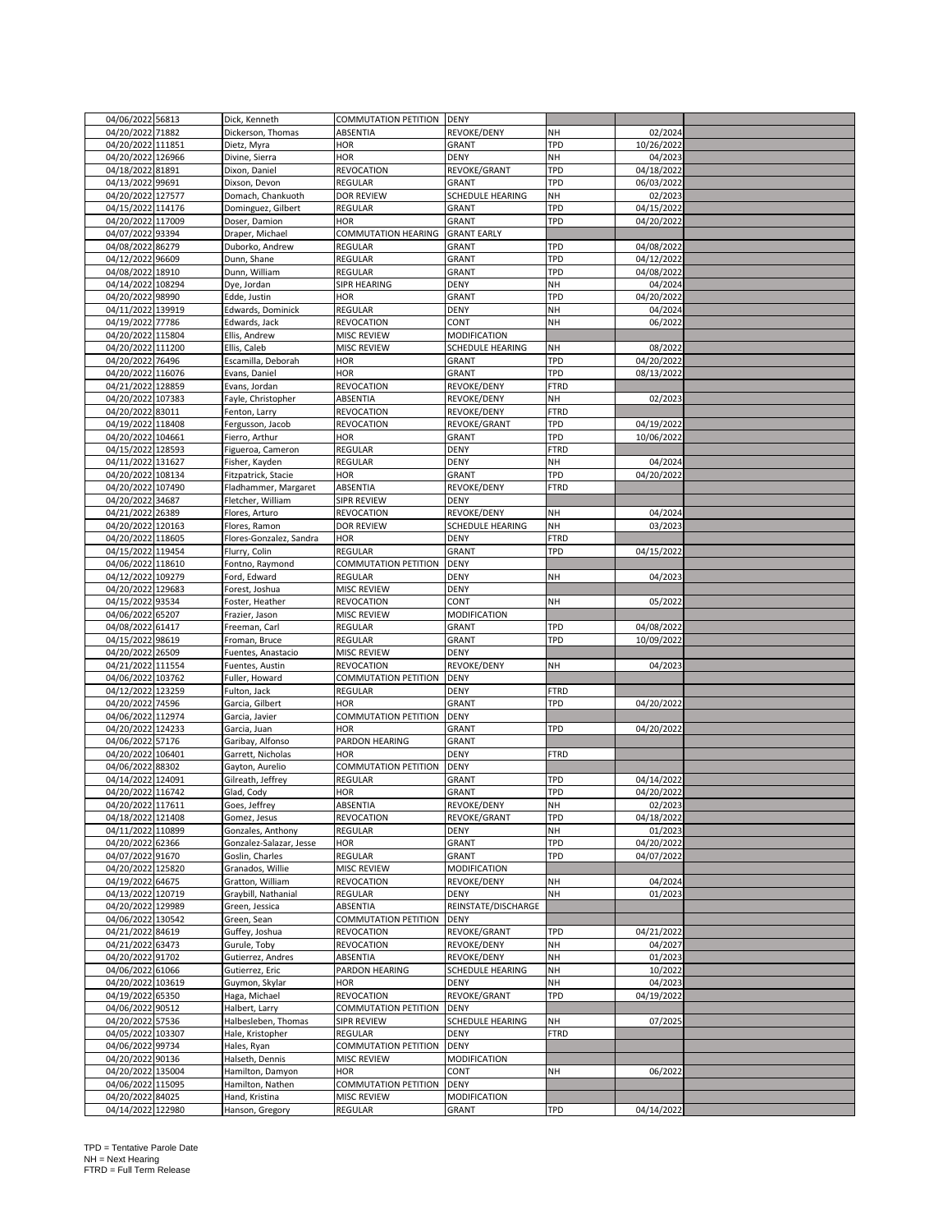| 04/06/2022 56813  |                   | Dick, Kenneth                 | COMMUTATION PETITION DENY |                      |             |            |  |
|-------------------|-------------------|-------------------------------|---------------------------|----------------------|-------------|------------|--|
| 04/20/2022 71882  |                   | Dickerson, Thomas             | ABSENTIA                  | REVOKE/DENY          | NΗ          | 02/2024    |  |
|                   |                   |                               |                           |                      | TPD         |            |  |
| 04/20/2022 111851 |                   | Dietz, Myra                   | hor                       | GRANT                |             | 10/26/2022 |  |
| 04/20/2022 126966 |                   | Divine, Sierra                | HOR                       | <b>DENY</b>          | NH          | 04/2023    |  |
| 04/18/2022 81891  |                   | Dixon, Daniel                 | REVOCATION                | REVOKE/GRANT         | TPD         | 04/18/2022 |  |
| 04/13/2022 99691  |                   | Dixson, Devon                 | REGULAR                   | GRANT                | TPD         | 06/03/2022 |  |
| 04/20/2022 127577 |                   | Domach, Chankuoth             | <b>DOR REVIEW</b>         | SCHEDULE HEARING     | <b>NH</b>   | 02/2023    |  |
| 04/15/2022 114176 |                   | Dominguez, Gilbert            | REGULAR                   | GRANT                | TPD         | 04/15/2022 |  |
| 04/20/2022 117009 |                   | Doser, Damion                 | HOR                       | GRANT                | TPD         | 04/20/2022 |  |
| 04/07/2022 93394  |                   | Draper, Michael               | COMMUTATION HEARING       | <b>GRANT EARLY</b>   |             |            |  |
| 04/08/2022 86279  |                   | Duborko, Andrew               | <b>REGULAR</b>            | GRANT                | TPD         | 04/08/2022 |  |
| 04/12/2022 96609  |                   | Dunn, Shane                   | REGULAR                   | GRANT                | TPD         | 04/12/2022 |  |
| 04/08/2022 18910  |                   | Dunn, William                 | REGULAR                   | GRANT                | TPD         | 04/08/2022 |  |
| 04/14/2022 108294 |                   |                               |                           |                      | NH          |            |  |
|                   |                   | Dye, Jordan                   | SIPR HEARING              | DENY                 |             | 04/2024    |  |
| 04/20/2022 98990  |                   | Edde, Justin                  | HOR                       | <b>GRANT</b>         | TPD         | 04/20/2022 |  |
| 04/11/2022 139919 |                   | Edwards, Dominick             | <b>REGULAR</b>            | <b>DENY</b>          | NH          | 04/2024    |  |
| 04/19/2022 77786  |                   | Edwards, Jack                 | REVOCATION                | CONT                 | NH          | 06/2022    |  |
| 04/20/2022 115804 |                   | Ellis, Andrew                 | <b>MISC REVIEW</b>        | <b>MODIFICATION</b>  |             |            |  |
| 04/20/2022 111200 |                   | Ellis, Caleb                  | MISC REVIEW               | SCHEDULE HEARING     | <b>NH</b>   | 08/2022    |  |
| 04/20/2022 76496  |                   | Escamilla, Deborah            | HOR                       | GRANT                | TPD         | 04/20/2022 |  |
| 04/20/2022 116076 |                   | Evans, Daniel                 | HOR                       | GRANT                | TPD         | 08/13/2022 |  |
| 04/21/2022 128859 |                   | Evans, Jordan                 | REVOCATION                | REVOKE/DENY          | <b>FTRD</b> |            |  |
| 04/20/2022 107383 |                   | Fayle, Christopher            | ABSENTIA                  | REVOKE/DENY          | NΗ          | 02/2023    |  |
| 04/20/2022 83011  |                   | Fenton, Larry                 | REVOCATION                | REVOKE/DENY          | <b>FTRD</b> |            |  |
| 04/19/2022 118408 |                   | Fergusson, Jacob              | REVOCATION                | REVOKE/GRANT         | TPD         | 04/19/2022 |  |
| 04/20/2022 104661 |                   | Fierro, Arthur                | HOR                       |                      | TPD         | 10/06/2022 |  |
| 04/15/2022 128593 |                   |                               |                           | GRANT<br><b>DENY</b> | <b>FTRD</b> |            |  |
|                   |                   | Figueroa, Cameron             | REGULAR                   |                      |             |            |  |
| 04/11/2022 131627 |                   | Fisher, Kayden                | <b>REGULAR</b>            | DENY                 | NΗ          | 04/2024    |  |
| 04/20/2022 108134 |                   | Fitzpatrick, Stacie           | HOR                       | GRANT                | TPD         | 04/20/2022 |  |
| 04/20/2022 107490 |                   | Fladhammer, Margaret          | ABSENTIA                  | REVOKE/DENY          | FTRD        |            |  |
| 04/20/2022 34687  |                   | Fletcher, William             | SIPR REVIEW               | <b>DENY</b>          |             |            |  |
| 04/21/2022 26389  |                   | Flores, Arturo                | REVOCATION                | REVOKE/DENY          | <b>NH</b>   | 04/2024    |  |
| 04/20/2022 120163 |                   | Flores, Ramon                 | <b>DOR REVIEW</b>         | SCHEDULE HEARING     | NH          | 03/2023    |  |
| 04/20/2022 118605 |                   | Flores-Gonzalez, Sandra       | HOR                       | DENY                 | FTRD        |            |  |
| 04/15/2022 119454 |                   | Flurry, Colin                 | REGULAR                   | <b>GRANT</b>         | TPD         | 04/15/2022 |  |
| 04/06/2022 118610 |                   | Fontno, Raymond               | COMMUTATION PETITION      | <b>DENY</b>          |             |            |  |
| 04/12/2022 109279 |                   | Ford, Edward                  | REGULAR                   | DENY                 | NΗ          | 04/2023    |  |
| 04/20/2022 129683 |                   | Forest, Joshua                | <b>MISC REVIEW</b>        | <b>DENY</b>          |             |            |  |
| 04/15/2022 93534  |                   | Foster, Heather               | REVOCATION                | CONT                 | NH          | 05/2022    |  |
| 04/06/2022 65207  |                   | Frazier, Jason                | MISC REVIEW               | MODIFICATION         |             |            |  |
| 04/08/2022 61417  |                   | Freeman, Carl                 | REGULAR                   | GRANT                | TPD         | 04/08/2022 |  |
| 04/15/2022 98619  |                   | Froman, Bruce                 | REGULAR                   |                      | TPD         | 10/09/2022 |  |
|                   |                   |                               |                           | GRANT                |             |            |  |
| 04/20/2022 26509  |                   | Fuentes, Anastacio            | MISC REVIEW               | DENY                 |             |            |  |
| 04/21/2022 111554 |                   | Fuentes, Austin               | REVOCATION                | REVOKE/DENY          | NΗ          | 04/2023    |  |
| 04/06/2022 103762 |                   | Fuller, Howard                | COMMUTATION PETITION      | <b>DENY</b>          |             |            |  |
| 04/12/2022 123259 |                   | Fulton, Jack                  | REGULAR                   | DENY                 | FTRD        |            |  |
| 04/20/2022 74596  |                   | Garcia, Gilbert               | HOR                       | GRANT                | TPD         | 04/20/2022 |  |
| 04/06/2022 112974 |                   | Garcia, Javier                | COMMUTATION PETITION      | <b>DENY</b>          |             |            |  |
| 04/20/2022 124233 |                   | Garcia, Juan                  | <b>HOR</b>                | GRANT                | TPD         | 04/20/2022 |  |
| 04/06/2022 57176  |                   | Garibay, Alfonso              | PARDON HEARING            | <b>GRANT</b>         |             |            |  |
| 04/20/2022 106401 |                   | Garrett, Nicholas             | HOR                       | DENY                 | FTRD        |            |  |
| 04/06/2022 88302  |                   | Gayton, Aurelio               | COMMUTATION PETITION      | DENY                 |             |            |  |
| 04/14/2022 124091 |                   | Gilreath, Jeffrey             | REGULAR                   | GRANT                | TPD         | 04/14/2022 |  |
| 04/20/2022 116742 |                   | Glad, Cody                    | HOR                       | GRANT                | TPD         | 04/20/2022 |  |
| 04/20/2022 117611 |                   |                               | ABSENTIA                  |                      | <b>NH</b>   | 02/2023    |  |
|                   |                   | Goes, Jeffrey<br>Gomez, Jesus |                           | REVOKE/DENY          | <b>TPD</b>  |            |  |
| 04/18/2022 121408 |                   |                               | <b>REVOCATION</b>         | REVOKE/GRANT         |             | 04/18/2022 |  |
| 04/11/2022 110899 |                   | Gonzales, Anthony             | REGULAR                   | DENY                 | NH          | 01/2023    |  |
| 04/20/2022 62366  |                   | Gonzalez-Salazar, Jesse       | HOR                       | GRANT                | TPD         | 04/20/2022 |  |
| 04/07/2022 91670  |                   | Goslin, Charles               | <b>REGULAR</b>            | GRANT                | TPD         | 04/07/2022 |  |
| 04/20/2022 125820 |                   | Granados, Willie              | <b>MISC REVIEW</b>        | <b>MODIFICATION</b>  |             |            |  |
| 04/19/2022 64675  |                   | Gratton, William              | REVOCATION                | REVOKE/DENY          | NH          | 04/2024    |  |
| 04/13/2022 120719 |                   | Graybill, Nathanial           | REGULAR                   | DENY                 | NH          | 01/2023    |  |
| 04/20/2022 129989 |                   | Green, Jessica                | ABSENTIA                  | REINSTATE/DISCHARGE  |             |            |  |
| 04/06/2022 130542 |                   | Green, Sean                   | COMMUTATION PETITION      | <b>DENY</b>          |             |            |  |
| 04/21/2022 84619  |                   | Guffey, Joshua                | <b>REVOCATION</b>         | REVOKE/GRANT         | <b>TPD</b>  | 04/21/2022 |  |
| 04/21/2022 63473  |                   | Gurule, Toby                  | REVOCATION                | REVOKE/DENY          | NH          | 04/2027    |  |
| 04/20/2022 91702  |                   | Gutierrez, Andres             | ABSENTIA                  | REVOKE/DENY          | NH          | 01/2023    |  |
| 04/06/2022 61066  |                   | Gutierrez, Eric               | PARDON HEARING            | SCHEDULE HEARING     | NH          | 10/2022    |  |
| 04/20/2022 103619 |                   | Guymon, Skylar                | <b>HOR</b>                | DENY                 | NH          | 04/2023    |  |
| 04/19/2022 65350  |                   | Haga, Michael                 | REVOCATION                | REVOKE/GRANT         | TPD         | 04/19/2022 |  |
|                   |                   | Halbert, Larry                |                           |                      |             |            |  |
| 04/06/2022 90512  |                   |                               | COMMUTATION PETITION      | <b>DENY</b>          |             |            |  |
| 04/20/2022 57536  |                   | Halbesleben, Thomas           | <b>SIPR REVIEW</b>        | SCHEDULE HEARING     | NΗ          | 07/2025    |  |
| 04/05/2022 103307 |                   | Hale, Kristopher              | REGULAR                   | <b>DENY</b>          | <b>FTRD</b> |            |  |
| 04/06/2022 99734  |                   | Hales, Ryan                   | COMMUTATION PETITION      | <b>DENY</b>          |             |            |  |
| 04/20/2022 90136  |                   | Halseth, Dennis               | <b>MISC REVIEW</b>        | MODIFICATION         |             |            |  |
| 04/20/2022 135004 |                   | Hamilton, Damyon              | HOR                       | CONT                 | <b>NH</b>   | 06/2022    |  |
| 04/06/2022 115095 |                   | Hamilton, Nathen              | COMMUTATION PETITION      | DENY                 |             |            |  |
| 04/20/2022 84025  |                   | Hand, Kristina                | MISC REVIEW               | MODIFICATION         |             |            |  |
|                   | 04/14/2022 122980 | Hanson, Gregory               | REGULAR                   | <b>GRANT</b>         | <b>TPD</b>  | 04/14/2022 |  |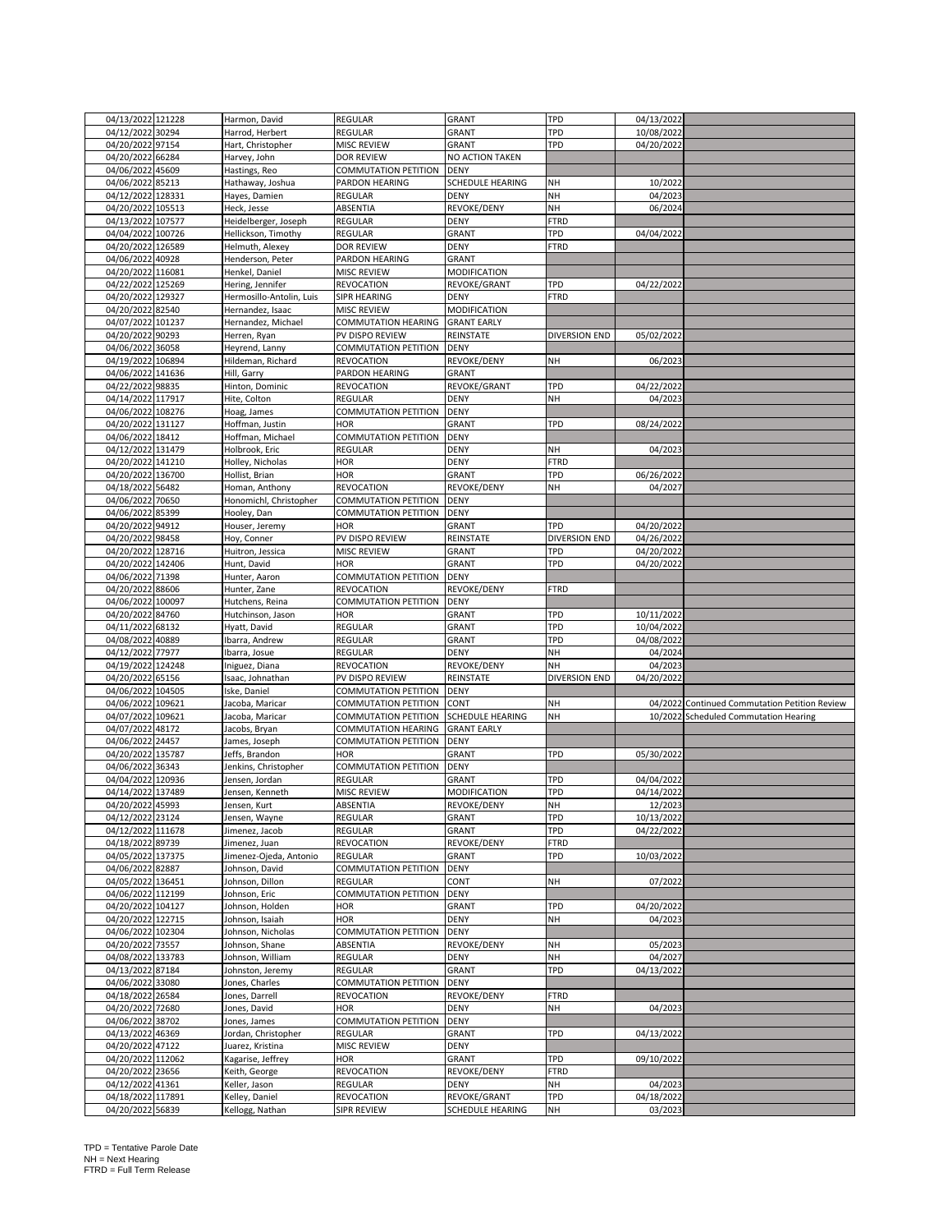| 04/13/2022 121228                     |                                   |                           |                                  |                      |                       |                                               |
|---------------------------------------|-----------------------------------|---------------------------|----------------------------------|----------------------|-----------------------|-----------------------------------------------|
|                                       | Harmon, David                     | REGULAR                   | <b>GRANT</b>                     | TPD                  | 04/13/2022            |                                               |
| 04/12/2022 30294                      | Harrod, Herbert                   | REGULAR                   | <b>GRANT</b>                     | TPD                  | 10/08/2022            |                                               |
| 04/20/2022 97154                      | Hart, Christopher                 | MISC REVIEW               | <b>GRANT</b>                     | TPD                  | 04/20/2022            |                                               |
| 04/20/2022 66284                      |                                   |                           |                                  |                      |                       |                                               |
|                                       | Harvey, John                      | DOR REVIEW                | NO ACTION TAKEN                  |                      |                       |                                               |
| 04/06/2022 45609                      | Hastings, Reo                     | COMMUTATION PETITION      | <b>DENY</b>                      |                      |                       |                                               |
| 04/06/2022 85213                      | Hathaway, Joshua                  | PARDON HEARING            | SCHEDULE HEARING                 | NΗ                   | 10/2022               |                                               |
| 04/12/2022 128331                     |                                   |                           |                                  |                      |                       |                                               |
|                                       | Hayes, Damien                     | REGULAR                   | <b>DENY</b>                      | NH                   | 04/2023               |                                               |
| 04/20/2022 105513                     | Heck, Jesse                       | ABSENTIA                  | REVOKE/DENY                      | NH                   | 06/2024               |                                               |
| 04/13/2022<br>107577                  | Heidelberger, Joseph              | REGULAR                   | <b>DENY</b>                      | <b>FTRD</b>          |                       |                                               |
|                                       |                                   |                           |                                  |                      |                       |                                               |
| 04/04/2022 100726                     | Hellickson, Timothy               | REGULAR                   | <b>GRANT</b>                     | TPD                  | 04/04/2022            |                                               |
| 04/20/2022 126589                     | Helmuth, Alexey                   | DOR REVIEW                | DENY                             | <b>FTRD</b>          |                       |                                               |
| 04/06/2022<br>40928                   | Henderson, Peter                  | PARDON HEARING            | <b>GRANT</b>                     |                      |                       |                                               |
|                                       |                                   |                           |                                  |                      |                       |                                               |
| 04/20/2022 116081                     | Henkel, Daniel                    | MISC REVIEW               | MODIFICATION                     |                      |                       |                                               |
| 04/22/2022 125269                     | Hering, Jennifer                  | REVOCATION                | REVOKE/GRANT                     | TPD                  | 04/22/2022            |                                               |
|                                       |                                   |                           |                                  | <b>FTRD</b>          |                       |                                               |
| 04/20/2022 129327                     | Hermosillo-Antolin, Luis          | SIPR HEARING              | DENY                             |                      |                       |                                               |
| 04/20/2022 82540                      | Hernandez, Isaac                  | MISC REVIEW               | <b>MODIFICATION</b>              |                      |                       |                                               |
| 04/07/2022 101237                     | Hernandez, Michael                | COMMUTATION HEARING       | <b>GRANT EARLY</b>               |                      |                       |                                               |
|                                       |                                   |                           |                                  |                      |                       |                                               |
| 04/20/2022 90293                      | Herren, Ryan                      | PV DISPO REVIEW           | REINSTATE                        | DIVERSION END        | 05/02/2022            |                                               |
| 04/06/2022 36058                      | Heyrend, Lanny                    | COMMUTATION PETITION      | <b>DENY</b>                      |                      |                       |                                               |
| 04/19/2022 106894                     | Hildeman, Richard                 | REVOCATION                | REVOKE/DENY                      | NH                   | 06/2023               |                                               |
|                                       |                                   |                           |                                  |                      |                       |                                               |
| 04/06/2022 141636                     | Hill, Garry                       | PARDON HEARING            | <b>GRANT</b>                     |                      |                       |                                               |
| 04/22/2022 98835                      | Hinton, Dominic                   | REVOCATION                | REVOKE/GRANT                     | TPD                  | 04/22/2022            |                                               |
|                                       |                                   |                           |                                  |                      |                       |                                               |
| 04/14/2022 117917                     | Hite, Colton                      | REGULAR                   | <b>DENY</b>                      | NH                   | 04/2023               |                                               |
| 04/06/2022 108276                     | Hoag, James                       | COMMUTATION PETITION      | <b>DENY</b>                      |                      |                       |                                               |
| 04/20/2022 131127                     | Hoffman, Justin                   | HOR                       | <b>GRANT</b>                     | TPD                  | 08/24/2022            |                                               |
|                                       |                                   |                           |                                  |                      |                       |                                               |
| 04/06/2022 18412                      | Hoffman, Michael                  | COMMUTATION PETITION      | <b>DENY</b>                      |                      |                       |                                               |
| 04/12/2022 131479                     | Holbrook, Eric                    | <b>REGULAR</b>            | DENY                             | NΗ                   | 04/2023               |                                               |
| 04/20/2022 141210                     |                                   | HOR                       | DENY                             | <b>FTRD</b>          |                       |                                               |
|                                       | Holley, Nicholas                  |                           |                                  |                      |                       |                                               |
| 04/20/2022 136700                     | Hollist, Brian                    | HOR                       | <b>GRANT</b>                     | TPD                  | 06/26/2022            |                                               |
| 04/18/2022 56482                      | Homan, Anthony                    | REVOCATION                | REVOKE/DENY                      | NH                   | 04/2027               |                                               |
|                                       |                                   |                           |                                  |                      |                       |                                               |
| 04/06/2022 70650                      | Honomichl, Christopher            | COMMUTATION PETITION      | <b>DENY</b>                      |                      |                       |                                               |
| 04/06/2022<br>85399                   | Hooley, Dan                       | COMMUTATION PETITION      | <b>DENY</b>                      |                      |                       |                                               |
|                                       |                                   |                           |                                  |                      |                       |                                               |
| 04/20/2022 94912                      | Houser, Jeremy                    | <b>HOR</b>                | <b>GRANT</b>                     | TPD                  | 04/20/2022            |                                               |
| 04/20/2022<br>98458                   | Hoy, Conner                       | PV DISPO REVIEW           | REINSTATE                        | <b>DIVERSION END</b> | 04/26/2022            |                                               |
| 04/20/2022 128716                     | Huitron, Jessica                  | MISC REVIEW               | <b>GRANT</b>                     | TPD                  | 04/20/2022            |                                               |
|                                       |                                   |                           |                                  |                      |                       |                                               |
| 04/20/2022 142406                     | Hunt, David                       | <b>HOR</b>                | <b>GRANT</b>                     | TPD                  | 04/20/2022            |                                               |
| 04/06/2022 71398                      | Hunter, Aaron                     | COMMUTATION PETITION      | <b>DENY</b>                      |                      |                       |                                               |
|                                       |                                   |                           |                                  |                      |                       |                                               |
| 04/20/2022 88606                      | Hunter, Zane                      | REVOCATION                | REVOKE/DENY                      | <b>FTRD</b>          |                       |                                               |
| 04/06/2022 100097                     | Hutchens, Reina                   | COMMUTATION PETITION      | <b>DENY</b>                      |                      |                       |                                               |
|                                       |                                   |                           |                                  |                      |                       |                                               |
|                                       |                                   |                           |                                  |                      |                       |                                               |
| 04/20/2022 84760                      | Hutchinson, Jason                 | <b>HOR</b>                | <b>GRANT</b>                     | TPD                  | 10/11/2022            |                                               |
| 04/11/2022 68132                      | Hyatt, David                      | REGULAR                   | <b>GRANT</b>                     | TPD                  | 10/04/2022            |                                               |
|                                       |                                   |                           |                                  |                      |                       |                                               |
| 04/08/2022<br>40889                   | Ibarra, Andrew                    | REGULAR                   | <b>GRANT</b>                     | TPD                  | 04/08/2022            |                                               |
| 04/12/2022 77977                      | Ibarra, Josue                     | REGULAR                   | <b>DENY</b>                      | NΗ                   | 04/2024               |                                               |
|                                       |                                   |                           |                                  |                      |                       |                                               |
| 04/19/2022 124248                     | Iniguez, Diana                    | REVOCATION                | REVOKE/DENY                      | NH                   | 04/2023               |                                               |
| 04/20/2022 65156                      | Isaac, Johnathan                  | PV DISPO REVIEW           | REINSTATE                        | DIVERSION END        | 04/20/2022            |                                               |
| 04/06/2022 104505                     | Iske, Daniel                      | COMMUTATION PETITION      | <b>DENY</b>                      |                      |                       |                                               |
|                                       |                                   |                           |                                  |                      |                       |                                               |
| 04/06/2022 109621                     | Jacoba, Maricar                   | COMMUTATION PETITION      | CONT                             | NΗ                   |                       | 04/2022 Continued Commutation Petition Review |
| 04/07/2022 109621                     | Jacoba, Maricar                   | COMMUTATION PETITION      | SCHEDULE HEARING                 | NH                   |                       | 10/2022 Scheduled Commutation Hearing         |
|                                       |                                   | COMMUTATION HEARING       | <b>GRANT EARLY</b>               |                      |                       |                                               |
| 04/07/2022 48172                      | Jacobs, Bryan                     |                           |                                  |                      |                       |                                               |
| 04/06/2022 24457                      | James, Joseph                     | COMMUTATION PETITION      | <b>DENY</b>                      |                      |                       |                                               |
| 04/20/2022 135787                     | Jeffs, Brandon                    | <b>HOR</b>                | <b>GRANT</b>                     | TPD                  | 05/30/2022            |                                               |
|                                       |                                   |                           |                                  |                      |                       |                                               |
| 04/06/2022 36343                      | Jenkins, Christopher              | COMMUTATION PETITION      | <b>DENY</b>                      |                      |                       |                                               |
| 04/04/2022 120936                     | Jensen, Jordan                    | REGULAR                   | <b>GRANT</b>                     | TPD                  | 04/04/2022            |                                               |
| 04/14/2022 137489                     | Jensen, Kenneth                   | MISC REVIEW               | MODIFICATION                     | TPD                  | 04/14/2022            |                                               |
|                                       |                                   |                           |                                  |                      |                       |                                               |
| 04/20/2022 45993                      | Jensen, Kurt                      | ABSENTIA                  | REVOKE/DENY                      | NΗ                   | 12/2023               |                                               |
| 04/12/2022 23124                      | Jensen, Wayne                     | <b>REGULAR</b>            | <b>GRANT</b>                     | TPD                  | 10/13/2022            |                                               |
| 04/12/2022 111678                     | Jimenez, Jacob                    | REGULAR                   | GRANT                            | TPD                  | 04/22/2022            |                                               |
|                                       |                                   |                           |                                  |                      |                       |                                               |
| 04/18/2022 89739                      | Jimenez, Juan                     | REVOCATION                | REVOKE/DENY                      | <b>FTRD</b>          |                       |                                               |
| 04/05/2022 137375                     | Jimenez-Ojeda, Antonio            | REGULAR                   | <b>GRANT</b>                     | TPD                  | 10/03/2022            |                                               |
|                                       |                                   |                           |                                  |                      |                       |                                               |
| 04/06/2022 82887                      | Johnson, David                    | COMMUTATION PETITION      | <b>DENY</b>                      |                      |                       |                                               |
| 04/05/2022 136451                     | Johnson, Dillon                   | <b>REGULAR</b>            | CONT                             | NΗ                   | 07/2022               |                                               |
| 04/06/2022 112199                     | Johnson, Eric                     | COMMUTATION PETITION      | <b>DENY</b>                      |                      |                       |                                               |
|                                       |                                   |                           |                                  |                      |                       |                                               |
| 04/20/2022 104127                     | Johnson, Holden                   | HOR                       | <b>GRANT</b>                     | TPD                  | 04/20/2022            |                                               |
| 04/20/2022 122715                     | Johnson, Isaiah                   | HOR                       | DENY                             | NH                   | 04/2023               |                                               |
| 04/06/2022 102304                     | Johnson, Nicholas                 | COMMUTATION PETITION      | <b>DENY</b>                      |                      |                       |                                               |
|                                       |                                   |                           |                                  |                      |                       |                                               |
| 04/20/2022 73557                      | Johnson, Shane                    | ABSENTIA                  | REVOKE/DENY                      | NH                   | 05/2023               |                                               |
| 04/08/2022 133783                     | Johnson, William                  | REGULAR                   | <b>DENY</b>                      | NH                   | 04/2027               |                                               |
|                                       |                                   |                           |                                  |                      |                       |                                               |
| 04/13/2022 87184                      | Johnston, Jeremy                  | REGULAR                   | <b>GRANT</b>                     | TPD                  | 04/13/2022            |                                               |
| 04/06/2022 33080                      | Jones, Charles                    | COMMUTATION PETITION      | <b>DENY</b>                      |                      |                       |                                               |
| 04/18/2022 26584                      | Jones, Darrell                    | REVOCATION                | REVOKE/DENY                      | <b>FTRD</b>          |                       |                                               |
|                                       |                                   |                           |                                  |                      |                       |                                               |
| 04/20/2022 72680                      | Jones, David                      | <b>HOR</b>                | DENY                             | NH                   | 04/2023               |                                               |
| 04/06/2022 38702                      | Jones, James                      | COMMUTATION PETITION      | <b>DENY</b>                      |                      |                       |                                               |
|                                       |                                   |                           |                                  |                      |                       |                                               |
| 04/13/2022 46369                      | Jordan, Christopher               | REGULAR                   | <b>GRANT</b>                     | TPD                  | 04/13/2022            |                                               |
| 04/20/2022 47122                      | Juarez, Kristina                  | MISC REVIEW               | DENY                             |                      |                       |                                               |
| 04/20/2022 112062                     | Kagarise, Jeffrey                 | <b>HOR</b>                | GRANT                            | TPD                  | 09/10/2022            |                                               |
|                                       |                                   |                           |                                  |                      |                       |                                               |
| 04/20/2022 23656                      | Keith, George                     | REVOCATION                | REVOKE/DENY                      | <b>FTRD</b>          |                       |                                               |
| 04/12/2022 41361                      | Keller, Jason                     | REGULAR                   | <b>DENY</b>                      | NH                   | 04/2023               |                                               |
|                                       |                                   |                           |                                  |                      |                       |                                               |
| 04/18/2022 117891<br>04/20/2022 56839 | Kelley, Daniel<br>Kellogg, Nathan | REVOCATION<br>SIPR REVIEW | REVOKE/GRANT<br>SCHEDULE HEARING | TPD<br>NH            | 04/18/2022<br>03/2023 |                                               |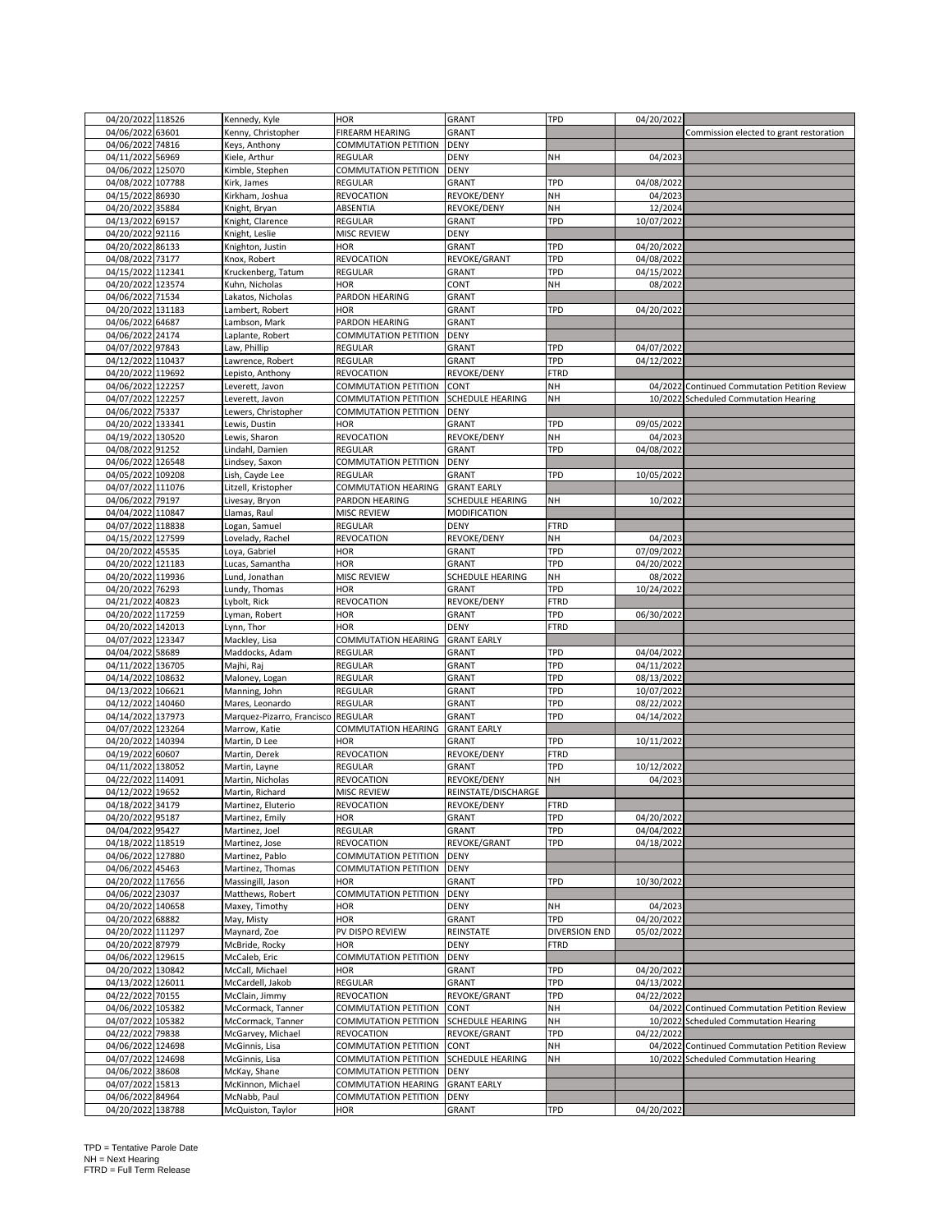| 04/20/2022 118526                    | Kennedy, Kyle              | <b>HOR</b>                  | GRANT                   | TPD                  | 04/20/2022 |                                               |
|--------------------------------------|----------------------------|-----------------------------|-------------------------|----------------------|------------|-----------------------------------------------|
| 04/06/2022 63601                     | Kenny, Christopher         | FIREARM HEARING             | <b>GRANT</b>            |                      |            | Commission elected to grant restoration       |
|                                      |                            |                             |                         |                      |            |                                               |
| 04/06/2022 74816                     | Keys, Anthony              | COMMUTATION PETITION        | <b>DENY</b>             |                      |            |                                               |
| 04/11/2022 56969                     | Kiele, Arthur              | REGULAR                     | DENY                    | NH                   | 04/2023    |                                               |
| 04/06/2022 125070                    | Kimble, Stephen            | COMMUTATION PETITION        | DENY                    |                      |            |                                               |
| 04/08/2022 107788                    | Kirk, James                | REGULAR                     | <b>GRANT</b>            | TPD                  | 04/08/2022 |                                               |
| 04/15/2022 86930                     | Kirkham, Joshua            | REVOCATION                  | REVOKE/DENY             | NH                   | 04/2023    |                                               |
| 04/20/2022 35884                     | Knight, Bryan              | ABSENTIA                    | REVOKE/DENY             | NH                   | 12/2024    |                                               |
| 04/13/2022<br>69157                  | Knight, Clarence           | REGULAR                     | <b>GRANT</b>            | TPD                  | 10/07/2022 |                                               |
| 04/20/2022 92116                     | Knight, Leslie             | MISC REVIEW                 | DENY                    |                      |            |                                               |
| 04/20/2022 86133                     | Knighton, Justin           | <b>HOR</b>                  | <b>GRANT</b>            | TPD                  | 04/20/2022 |                                               |
| 04/08/2022 73177                     | Knox, Robert               | REVOCATION                  | REVOKE/GRANT            | TPD                  | 04/08/2022 |                                               |
| 04/15/2022 112341                    | Kruckenberg, Tatum         | REGULAR                     | GRANT                   | TPD                  | 04/15/2022 |                                               |
| 04/20/2022 123574                    | Kuhn, Nicholas             | HOR                         | CONT                    | NH                   | 08/2022    |                                               |
|                                      |                            |                             |                         |                      |            |                                               |
| 04/06/2022 71534                     | Lakatos, Nicholas          | PARDON HEARING              | <b>GRANT</b>            |                      |            |                                               |
| 04/20/2022 131183                    | Lambert, Robert            | <b>HOR</b>                  | GRANT                   | TPD                  | 04/20/2022 |                                               |
| 04/06/2022 64687                     | Lambson, Mark              | PARDON HEARING              | GRANT                   |                      |            |                                               |
| 04/06/2022 24174                     | Laplante, Robert           | COMMUTATION PETITION        | <b>DENY</b>             |                      |            |                                               |
| 04/07/2022 97843                     | Law, Phillip               | REGULAR                     | <b>GRANT</b>            | TPD                  | 04/07/2022 |                                               |
| 04/12/2022 110437                    | Lawrence, Robert           | REGULAR                     | GRANT                   | TPD                  | 04/12/2022 |                                               |
| 04/20/2022 119692                    | Lepisto, Anthony           | REVOCATION                  | REVOKE/DENY             | <b>FTRD</b>          |            |                                               |
| 04/06/2022 122257                    | Leverett, Javon            | COMMUTATION PETITION        | CONT                    | NH                   |            | 04/2022 Continued Commutation Petition Review |
| 04/07/2022 122257                    | Leverett, Javon            | COMMUTATION PETITION        | <b>SCHEDULE HEARING</b> | NΗ                   |            | 10/2022 Scheduled Commutation Hearing         |
| 04/06/2022 75337                     | Lewers, Christopher        | COMMUTATION PETITION        | <b>DENY</b>             |                      |            |                                               |
| 04/20/2022 133341                    | Lewis, Dustin              | HOR                         | <b>GRANT</b>            | TPD                  | 09/05/2022 |                                               |
| 04/19/2022 130520                    | Lewis, Sharon              | REVOCATION                  | REVOKE/DENY             | NΗ                   | 04/2023    |                                               |
| 04/08/2022 91252                     | Lindahl, Damien            | REGULAR                     | GRANT                   | TPD                  | 04/08/2022 |                                               |
|                                      |                            |                             |                         |                      |            |                                               |
| 04/06/2022 126548                    | Lindsey, Saxon             | COMMUTATION PETITION        | <b>DENY</b>             |                      |            |                                               |
| 04/05/2022 109208                    | Lish, Cayde Lee            | REGULAR                     | GRANT                   | TPD                  | 10/05/2022 |                                               |
| 04/07/2022 111076                    | Litzell, Kristopher        | COMMUTATION HEARING         | <b>GRANT EARLY</b>      |                      |            |                                               |
| 04/06/2022 79197                     | Livesay, Bryon             | PARDON HEARING              | <b>SCHEDULE HEARING</b> | NΗ                   | 10/2022    |                                               |
| 04/04/2022 110847                    | Llamas, Raul               | MISC REVIEW                 | MODIFICATION            |                      |            |                                               |
| 04/07/2022 118838                    | Logan, Samuel              | REGULAR                     | <b>DENY</b>             | FTRD                 |            |                                               |
| 04/15/2022<br>127599                 | Lovelady, Rachel           | REVOCATION                  | REVOKE/DENY             | NH                   | 04/2023    |                                               |
| 04/20/2022 45535                     | Loya, Gabriel              | HOR                         | <b>GRANT</b>            | TPD                  | 07/09/2022 |                                               |
| 04/20/2022 121183                    | Lucas, Samantha            | <b>HOR</b>                  | GRANT                   | TPD                  | 04/20/2022 |                                               |
| 04/20/2022 119936                    | Lund, Jonathan             | MISC REVIEW                 | SCHEDULE HEARING        | NΗ                   | 08/2022    |                                               |
| 04/20/2022 76293                     | Lundy, Thomas              | HOR                         | <b>GRANT</b>            | TPD                  | 10/24/2022 |                                               |
| 04/21/2022<br>40823                  | ybolt, Rick                | REVOCATION                  | REVOKE/DENY             | <b>FTRD</b>          |            |                                               |
| 04/20/2022 117259                    | Lyman, Robert              | HOR                         | GRANT                   | TPD                  | 06/30/2022 |                                               |
| 04/20/2022 142013                    | Lynn, Thor                 | HOR                         | <b>DENY</b>             | <b>FTRD</b>          |            |                                               |
|                                      |                            |                             |                         |                      |            |                                               |
| 04/07/2022 123347                    | Mackley, Lisa              | COMMUTATION HEARING         | <b>GRANT EARLY</b>      |                      |            |                                               |
| 04/04/2022 58689                     | Maddocks, Adam             | <b>REGULAR</b>              | <b>GRANT</b>            | TPD                  | 04/04/2022 |                                               |
| 04/11/2022 136705                    | Majhi, Raj                 | REGULAR                     | <b>GRANT</b>            | TPD                  | 04/11/2022 |                                               |
| 04/14/2022 108632                    | Maloney, Logan             | REGULAR                     | GRANT                   | TPD                  | 08/13/2022 |                                               |
| 04/13/2022<br>106621                 | Manning, John              | REGULAR                     | GRANT                   | TPD                  | 10/07/2022 |                                               |
| 04/12/2022 140460                    | Mares, Leonardo            | REGULAR                     | GRANT                   | TPD                  | 08/22/2022 |                                               |
| 04/14/2022 137973                    | Marquez-Pizarro, Francisco | <b>REGULAR</b>              | <b>GRANT</b>            | TPD                  | 04/14/2022 |                                               |
| 04/07/2022 123264                    | Marrow, Katie              | COMMUTATION HEARING         | <b>GRANT EARLY</b>      |                      |            |                                               |
| 04/20/2022 140394                    | Martin, D Lee              | HOR                         | <b>GRANT</b>            | TPD                  | 10/11/2022 |                                               |
| 04/19/2022<br>60607                  | Martin, Derek              | REVOCATION                  | REVOKE/DENY             | <b>FTRD</b>          |            |                                               |
| 04/11/2022 138052                    | Martin, Layne              | REGULAR                     | <b>GRANT</b>            | TPD                  | 10/12/2022 |                                               |
| 04/22/2022 114091                    | Martin, Nicholas           | REVOCATION                  | REVOKE/DENY             | NH                   | 04/2023    |                                               |
|                                      |                            | MISC REVIEW                 | REINSTATE/DISCHARGE     |                      |            |                                               |
| 04/12/2022 19652<br>04/18/2022 34179 | Martin, Richard            |                             |                         |                      |            |                                               |
|                                      | Martinez, Eluterio         | <b>REVOCATION</b>           | REVOKE/DENY             | <b>FTRD</b>          |            |                                               |
| 04/20/2022 95187                     | Martinez, Emily            | <b>HOR</b>                  | <b>GRANT</b>            | TPD                  | 04/20/2022 |                                               |
| 04/04/2022 95427                     | Martinez, Joel             | REGULAR                     | <b>GRANT</b>            | TPD                  | 04/04/2022 |                                               |
| 04/18/2022 118519                    | Martinez, Jose             | REVOCATION                  | REVOKE/GRANT            | TPD                  | 04/18/2022 |                                               |
| 04/06/2022 127880                    | Martinez, Pablo            | COMMUTATION PETITION        | <b>DENY</b>             |                      |            |                                               |
| 04/06/2022 45463                     | Martinez, Thomas           | COMMUTATION PETITION        | <b>DENY</b>             |                      |            |                                               |
| 04/20/2022 117656                    | Massingill, Jason          | <b>HOR</b>                  | GRANT                   | TPD                  | 10/30/2022 |                                               |
| 04/06/2022<br>23037                  | Matthews, Robert           | COMMUTATION PETITION        | <b>DENY</b>             |                      |            |                                               |
| 04/20/2022 140658                    | Maxey, Timothy             | HOR                         | <b>DENY</b>             | NH                   | 04/2023    |                                               |
| 04/20/2022 68882                     | May, Misty                 | HOR                         | <b>GRANT</b>            | TPD                  | 04/20/2022 |                                               |
| 04/20/2022 111297                    | Maynard, Zoe               | PV DISPO REVIEW             | REINSTATE               | <b>DIVERSION END</b> | 05/02/2022 |                                               |
| 04/20/2022 87979                     | McBride, Rocky             | <b>HOR</b>                  | <b>DENY</b>             | <b>FTRD</b>          |            |                                               |
| 04/06/2022 129615                    | McCaleb, Eric              | <b>COMMUTATION PETITION</b> | <b>DENY</b>             |                      |            |                                               |
| 04/20/2022 130842                    | McCall, Michael            | <b>HOR</b>                  | GRANT                   | TPD                  | 04/20/2022 |                                               |
| 04/13/2022 126011                    | McCardell, Jakob           | REGULAR                     | GRANT                   | TPD                  | 04/13/2022 |                                               |
|                                      |                            | <b>REVOCATION</b>           |                         |                      |            |                                               |
| 04/22/2022 70155                     | McClain, Jimmy             |                             | REVOKE/GRANT            | <b>TPD</b>           | 04/22/2022 |                                               |
| 04/06/2022 105382                    | McCormack, Tanner          | COMMUTATION PETITION        | CONT                    | NΗ                   |            | 04/2022 Continued Commutation Petition Review |
| 04/07/2022 105382                    | McCormack, Tanner          | COMMUTATION PETITION        | <b>SCHEDULE HEARING</b> | NH                   |            | 10/2022 Scheduled Commutation Hearing         |
| 04/22/2022 79838                     | McGarvey, Michael          | REVOCATION                  | REVOKE/GRANT            | TPD                  | 04/22/2022 |                                               |
| 04/06/2022 124698                    | McGinnis, Lisa             | COMMUTATION PETITION        | CONT                    | NH                   |            | 04/2022 Continued Commutation Petition Review |
| 04/07/2022 124698                    | McGinnis, Lisa             | COMMUTATION PETITION        | <b>SCHEDULE HEARING</b> | NH                   |            | 10/2022 Scheduled Commutation Hearing         |
| 04/06/2022 38608                     | McKay, Shane               | COMMUTATION PETITION        | <b>DENY</b>             |                      |            |                                               |
| 04/07/2022 15813                     | McKinnon, Michael          | COMMUTATION HEARING         | <b>GRANT EARLY</b>      |                      |            |                                               |
| 04/06/2022 84964                     | McNabb, Paul               | COMMUTATION PETITION        | <b>DENY</b>             |                      |            |                                               |
| 04/20/2022 138788                    | McQuiston, Taylor          | HOR                         | <b>GRANT</b>            | TPD                  | 04/20/2022 |                                               |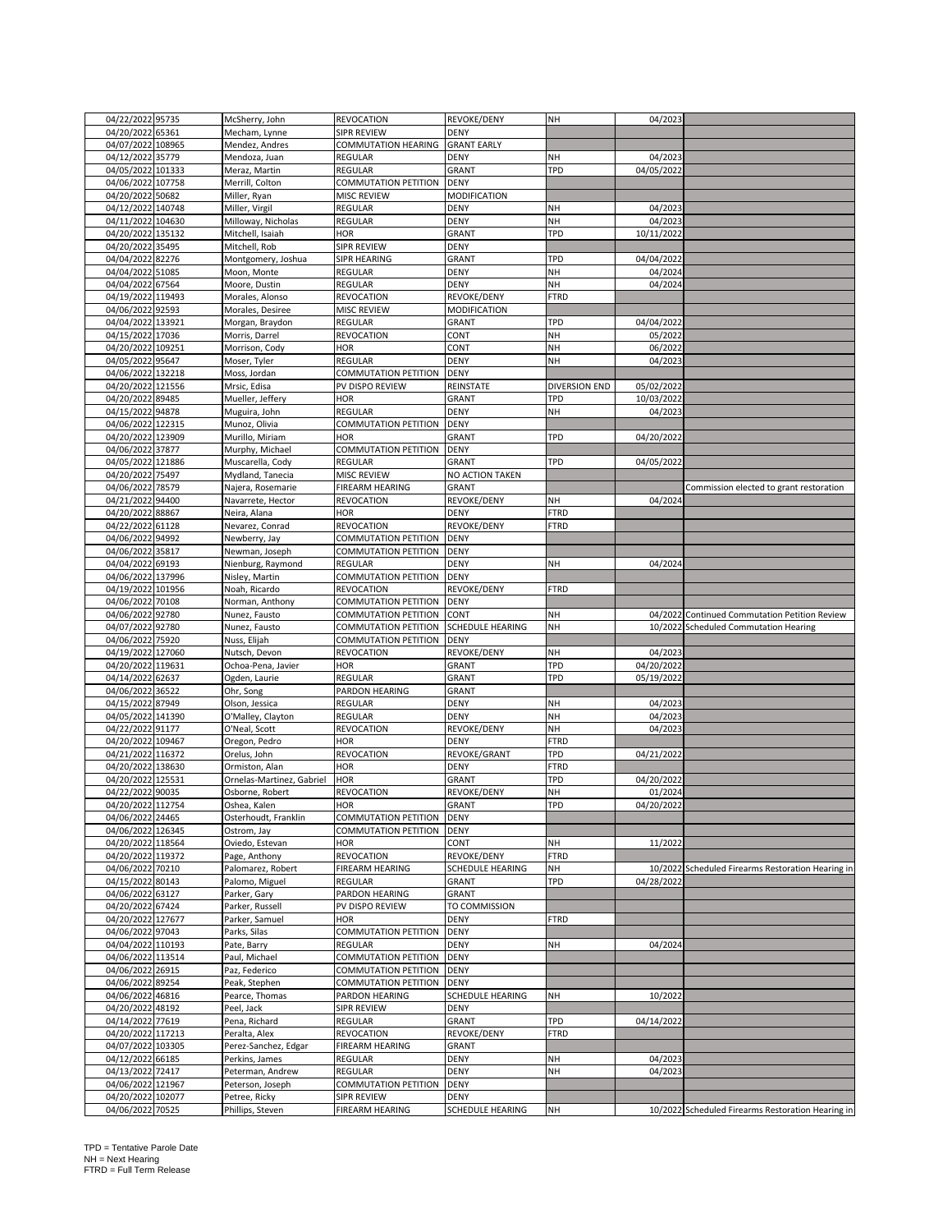| 04/22/2022 95735                      | McSherry, John                    | REVOCATION           | REVOKE/DENY         | NΗ            | 04/2023    |                                                   |
|---------------------------------------|-----------------------------------|----------------------|---------------------|---------------|------------|---------------------------------------------------|
| 04/20/2022 65361                      | Mecham, Lynne                     | <b>SIPR REVIEW</b>   | <b>DENY</b>         |               |            |                                                   |
| 04/07/2022 108965                     | Mendez, Andres                    | COMMUTATION HEARING  | <b>GRANT EARLY</b>  |               |            |                                                   |
| 04/12/2022 35779                      |                                   | <b>REGULAR</b>       | <b>DENY</b>         | NH            |            |                                                   |
|                                       | Mendoza, Juan                     |                      |                     |               | 04/2023    |                                                   |
| 04/05/2022 101333                     | Meraz, Martin                     | REGULAR              | GRANT               | TPD           | 04/05/2022 |                                                   |
| 04/06/2022 107758                     | Merrill, Colton                   | COMMUTATION PETITION | <b>DENY</b>         |               |            |                                                   |
| 04/20/2022 50682                      | Miller, Ryan                      | MISC REVIEW          | MODIFICATION        |               |            |                                                   |
| 04/12/2022 140748                     | Miller, Virgil                    | REGULAR              | DENY                | NΗ            | 04/2023    |                                                   |
|                                       |                                   |                      |                     |               |            |                                                   |
| 04/11/2022 104630                     | Milloway, Nicholas                | REGULAR              | <b>DENY</b>         | NH            | 04/2023    |                                                   |
| 04/20/2022 135132                     | Mitchell, Isaiah                  | <b>HOR</b>           | GRANT               | TPD           | 10/11/2022 |                                                   |
| 04/20/2022 35495                      | Mitchell, Rob                     | <b>SIPR REVIEW</b>   | <b>DENY</b>         |               |            |                                                   |
| 04/04/2022<br>82276                   | Montgomery, Joshua                | SIPR HEARING         | GRANT               | TPD           | 04/04/2022 |                                                   |
|                                       |                                   |                      |                     |               |            |                                                   |
| 04/04/2022 51085                      | Moon, Monte                       | REGULAR              | <b>DENY</b>         | NH            | 04/2024    |                                                   |
| 04/04/2022 67564                      | Moore, Dustin                     | REGULAR              | <b>DENY</b>         | NH            | 04/2024    |                                                   |
| 04/19/2022<br>119493                  | Morales, Alonso                   | REVOCATION           | REVOKE/DENY         | <b>FTRD</b>   |            |                                                   |
| 04/06/2022 92593                      | Morales, Desiree                  | MISC REVIEW          | <b>MODIFICATION</b> |               |            |                                                   |
|                                       |                                   |                      |                     |               |            |                                                   |
| 04/04/2022 133921                     | Morgan, Braydon                   | REGULAR              | GRANT               | TPD           | 04/04/2022 |                                                   |
| 04/15/2022 17036                      | Morris, Darrel                    | REVOCATION           | CONT                | NH            | 05/2022    |                                                   |
| 04/20/2022 109251                     | Morrison, Cody                    | HOR                  | CONT                | NH            | 06/2022    |                                                   |
| 04/05/2022 95647                      | Moser, Tyler                      | REGULAR              | <b>DENY</b>         | NH            | 04/2023    |                                                   |
|                                       |                                   |                      |                     |               |            |                                                   |
| 04/06/2022 132218                     | Moss, Jordan                      | COMMUTATION PETITION | <b>DENY</b>         |               |            |                                                   |
| 04/20/2022 121556                     | Mrsic, Edisa                      | PV DISPO REVIEW      | REINSTATE           | DIVERSION END | 05/02/2022 |                                                   |
| 04/20/2022 89485                      | Mueller, Jeffery                  | HOR                  | GRANT               | TPD           | 10/03/2022 |                                                   |
| 04/15/2022 94878                      | Muguira, John                     | REGULAR              | DENY                | NH            | 04/2023    |                                                   |
|                                       |                                   |                      |                     |               |            |                                                   |
| 04/06/2022 122315                     | Munoz, Olivia                     | COMMUTATION PETITION | <b>DENY</b>         |               |            |                                                   |
| 04/20/2022 123909                     | Murillo, Miriam                   | HOR                  | GRANT               | TPD           | 04/20/2022 |                                                   |
| 04/06/2022 37877                      | Murphy, Michael                   | COMMUTATION PETITION | <b>DENY</b>         |               |            |                                                   |
| 04/05/2022 121886                     | Muscarella, Cody                  | <b>REGULAR</b>       | GRANT               | TPD           | 04/05/2022 |                                                   |
|                                       |                                   |                      |                     |               |            |                                                   |
| 04/20/2022 75497                      | Mydland, Tanecia                  | MISC REVIEW          | NO ACTION TAKEN     |               |            |                                                   |
| 04/06/2022 78579                      | Najera, Rosemarie                 | FIREARM HEARING      | GRANT               |               |            | Commission elected to grant restoration           |
| 04/21/2022 94400                      | Navarrete, Hector                 | REVOCATION           | REVOKE/DENY         | NH            | 04/2024    |                                                   |
| 04/20/2022<br>88867                   | Neira, Alana                      | <b>HOR</b>           | <b>DENY</b>         | <b>FTRD</b>   |            |                                                   |
|                                       |                                   |                      |                     |               |            |                                                   |
| 04/22/2022 61128                      | Nevarez, Conrad                   | REVOCATION           | REVOKE/DENY         | <b>FTRD</b>   |            |                                                   |
| 04/06/2022<br>94992                   | Newberry, Jay                     | COMMUTATION PETITION | <b>DENY</b>         |               |            |                                                   |
| 04/06/2022 35817                      | Newman, Joseph                    | COMMUTATION PETITION | <b>DENY</b>         |               |            |                                                   |
| 04/04/2022 69193                      | Nienburg, Raymond                 | <b>REGULAR</b>       | <b>DENY</b>         | NΗ            | 04/2024    |                                                   |
|                                       |                                   |                      |                     |               |            |                                                   |
| 04/06/2022 137996                     | Nisley, Martin                    | COMMUTATION PETITION | <b>DENY</b>         |               |            |                                                   |
| 04/19/2022 101956                     | Noah, Ricardo                     | REVOCATION           | REVOKE/DENY         | <b>FTRD</b>   |            |                                                   |
| 04/06/2022 70108                      | Norman, Anthony                   | COMMUTATION PETITION | <b>DENY</b>         |               |            |                                                   |
|                                       |                                   |                      |                     |               |            |                                                   |
|                                       |                                   |                      |                     |               |            |                                                   |
| 04/06/2022 92780                      | Nunez, Fausto                     | COMMUTATION PETITION | CONT                | NΗ            |            | 04/2022 Continued Commutation Petition Review     |
| 04/07/2022 92780                      | Nunez, Fausto                     | COMMUTATION PETITION | SCHEDULE HEARING    | NH            |            | 10/2022 Scheduled Commutation Hearing             |
| 04/06/2022 75920                      | Nuss, Elijah                      | COMMUTATION PETITION | <b>DENY</b>         |               |            |                                                   |
|                                       |                                   |                      |                     |               |            |                                                   |
| 04/19/2022 127060                     | Nutsch, Devon                     | REVOCATION           | REVOKE/DENY         | NΗ            | 04/2023    |                                                   |
| 04/20/2022 119631                     | Ochoa-Pena, Javier                | HOR                  | GRANT               | TPD           | 04/20/2022 |                                                   |
| 04/14/2022 62637                      | Ogden, Laurie                     | REGULAR              | GRANT               | TPD           | 05/19/2022 |                                                   |
|                                       |                                   |                      |                     |               |            |                                                   |
| 04/06/2022 36522                      | Ohr, Song                         | PARDON HEARING       | GRANT               |               |            |                                                   |
| 04/15/2022 87949                      | Olson, Jessica                    | REGULAR              | DENY                | NΗ            | 04/2023    |                                                   |
| 04/05/2022 141390                     | O'Malley, Clayton                 | <b>REGULAR</b>       | <b>DENY</b>         | NH            | 04/2023    |                                                   |
| 04/22/2022 91177                      | O'Neal, Scott                     | REVOCATION           | REVOKE/DENY         | NH            | 04/2023    |                                                   |
| 04/20/2022 109467                     | Oregon, Pedro                     | <b>HOR</b>           | <b>DENY</b>         | <b>FTRD</b>   |            |                                                   |
|                                       |                                   |                      |                     |               |            |                                                   |
| 04/21/2022 116372                     | Orelus, John                      | REVOCATION           | REVOKE/GRANT        | TPD           | 04/21/2022 |                                                   |
| 04/20/2022 138630                     | Ormiston, Alan                    | HOR                  | <b>DENY</b>         | <b>FTRD</b>   |            |                                                   |
| 04/20/2022 125531                     | Ornelas-Martinez, Gabriel         | <b>HOR</b>           | GRANT               | TPD           | 04/20/2022 |                                                   |
| 04/22/2022 90035                      | Osborne, Robert                   | <b>REVOCATION</b>    | REVOKE/DENY         | NH            | 01/2024    |                                                   |
|                                       |                                   |                      |                     |               |            |                                                   |
| 04/20/2022 112754                     | Oshea, Kalen                      | <b>HOR</b>           | GRANT               | TPD           | 04/20/2022 |                                                   |
| 04/06/2022 24465                      | Osterhoudt, Franklin              | COMMUTATION PETITION | <b>DENY</b>         |               |            |                                                   |
| 04/06/2022 126345                     | Ostrom, Jay                       | COMMUTATION PETITION | <b>DENY</b>         |               |            |                                                   |
| 04/20/2022 118564                     | Oviedo, Estevan                   | HOR                  | CONT                | NΗ            | 11/2022    |                                                   |
|                                       |                                   |                      |                     |               |            |                                                   |
| 04/20/2022 119372                     | Page, Anthony                     | REVOCATION           | REVOKE/DENY         | <b>FTRD</b>   |            |                                                   |
| 04/06/2022 70210                      | Palomarez, Robert                 | FIREARM HEARING      | SCHEDULE HEARING    | NH            |            | 10/2022 Scheduled Firearms Restoration Hearing in |
| 04/15/2022 80143                      | Palomo, Miguel                    | REGULAR              | <b>GRANT</b>        | TPD           | 04/28/2022 |                                                   |
| 04/06/2022 63127                      | Parker, Gary                      | PARDON HEARING       | <b>GRANT</b>        |               |            |                                                   |
| 04/20/2022 67424                      | Parker, Russell                   | PV DISPO REVIEW      | TO COMMISSION       |               |            |                                                   |
|                                       |                                   |                      |                     |               |            |                                                   |
| 04/20/2022 127677                     | Parker, Samuel                    | HOR                  | <b>DENY</b>         | <b>FTRD</b>   |            |                                                   |
| 04/06/2022 97043                      | Parks, Silas                      | COMMUTATION PETITION | <b>DENY</b>         |               |            |                                                   |
| 04/04/2022 110193                     | Pate, Barry                       | <b>REGULAR</b>       | <b>DENY</b>         | NΗ            | 04/2024    |                                                   |
|                                       |                                   |                      |                     |               |            |                                                   |
| 04/06/2022 113514                     | Paul, Michael                     | COMMUTATION PETITION | <b>DENY</b>         |               |            |                                                   |
| 04/06/2022 26915                      | Paz, Federico                     | COMMUTATION PETITION | <b>DENY</b>         |               |            |                                                   |
| 04/06/2022 89254                      | Peak, Stephen                     | COMMUTATION PETITION | <b>DENY</b>         |               |            |                                                   |
| 04/06/2022 46816                      | Pearce, Thomas                    | PARDON HEARING       | SCHEDULE HEARING    | NΗ            | 10/2022    |                                                   |
|                                       |                                   |                      |                     |               |            |                                                   |
| 04/20/2022<br>48192                   | Peel, Jack                        | SIPR REVIEW          | <b>DENY</b>         |               |            |                                                   |
| 04/14/2022 77619                      | Pena, Richard                     | REGULAR              | <b>GRANT</b>        | TPD           | 04/14/2022 |                                                   |
| 04/20/2022 117213                     | Peralta, Alex                     | REVOCATION           | REVOKE/DENY         | <b>FTRD</b>   |            |                                                   |
| 04/07/2022 103305                     | Perez-Sanchez, Edgar              | FIREARM HEARING      | GRANT               |               |            |                                                   |
|                                       |                                   |                      |                     |               |            |                                                   |
| 04/12/2022 66185                      | Perkins, James                    | REGULAR              | DENY                | NΗ            | 04/2023    |                                                   |
| 04/13/2022 72417                      | Peterman, Andrew                  | REGULAR              | DENY                | NΗ            | 04/2023    |                                                   |
| 04/06/2022 121967                     | Peterson, Joseph                  | COMMUTATION PETITION | <b>DENY</b>         |               |            |                                                   |
|                                       |                                   | SIPR REVIEW          | <b>DENY</b>         |               |            |                                                   |
| 04/20/2022 102077<br>04/06/2022 70525 | Petree, Ricky<br>Phillips, Steven | FIREARM HEARING      | SCHEDULE HEARING    | NH            |            | 10/2022 Scheduled Firearms Restoration Hearing in |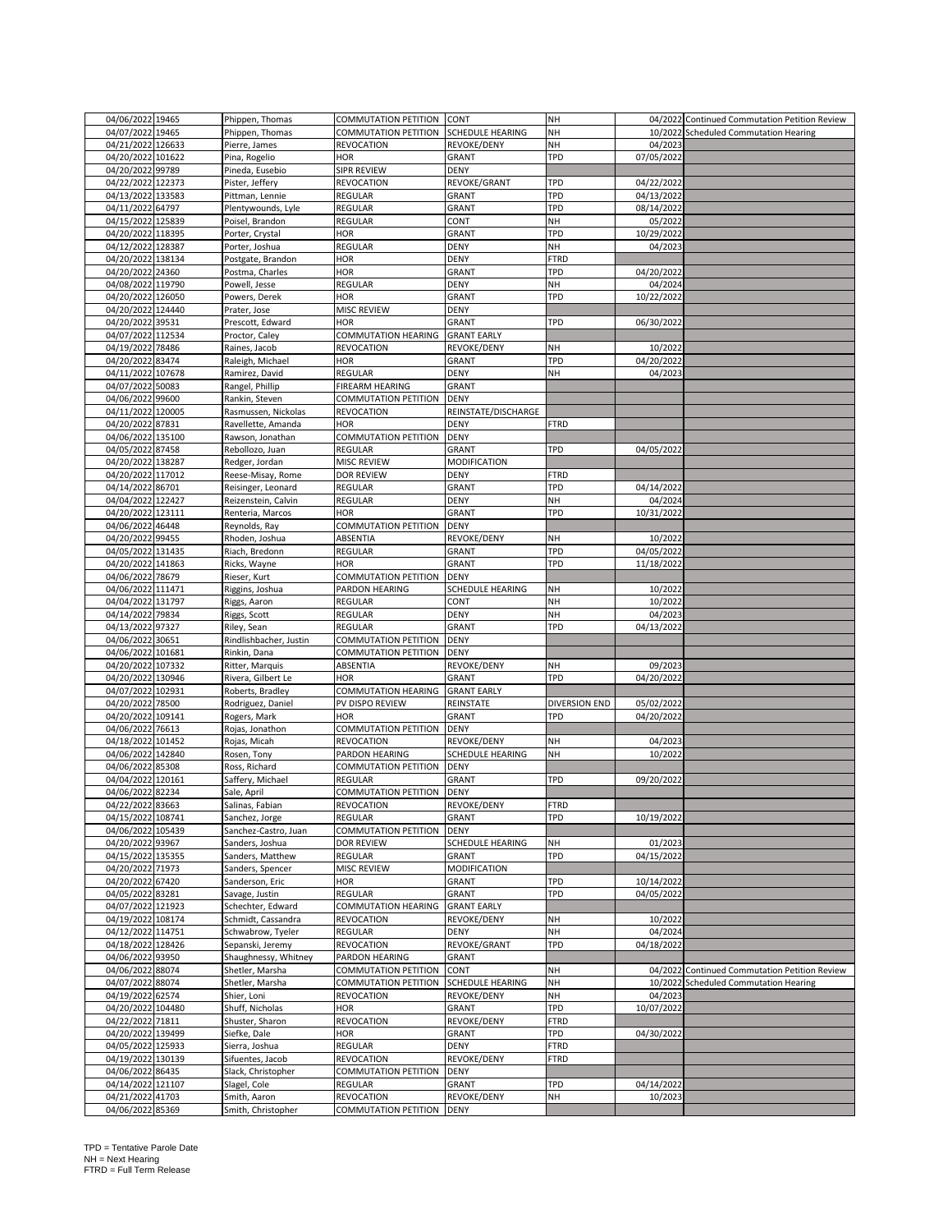| 04/06/2022 19465     | Phippen, Thomas        | COMMUTATION PETITION CONT   |                     | NH            |            | 04/2022 Continued Commutation Petition Review |
|----------------------|------------------------|-----------------------------|---------------------|---------------|------------|-----------------------------------------------|
| 04/07/2022 19465     | Phippen, Thomas        | COMMUTATION PETITION        | SCHEDULE HEARING    | NH            |            | 10/2022 Scheduled Commutation Hearing         |
| 04/21/2022 126633    | Pierre, James          | REVOCATION                  | REVOKE/DENY         | NH            | 04/2023    |                                               |
| 04/20/2022 101622    | Pina, Rogelio          | <b>HOR</b>                  | GRANT               | TPD           | 07/05/2022 |                                               |
|                      |                        |                             |                     |               |            |                                               |
| 04/20/2022 99789     | Pineda, Eusebio        | SIPR REVIEW                 | <b>DENY</b>         |               |            |                                               |
| 04/22/2022 122373    | Pister, Jeffery        | REVOCATION                  | REVOKE/GRANT        | TPD           | 04/22/2022 |                                               |
| 04/13/2022 133583    | Pittman, Lennie        | REGULAR                     | GRANT               | TPD           | 04/13/2022 |                                               |
| 04/11/2022 64797     | Plentywounds, Lyle     | REGULAR                     | GRANT               | TPD           | 08/14/2022 |                                               |
| 04/15/2022<br>125839 | Poisel, Brandon        | REGULAR                     | CONT                | NΗ            | 05/2022    |                                               |
| 04/20/2022 118395    | Porter, Crystal        | HOR                         | GRANT               | TPD           | 10/29/2022 |                                               |
| 04/12/2022 128387    | Porter, Joshua         | REGULAR                     | <b>DENY</b>         | NH            | 04/2023    |                                               |
| 04/20/2022<br>138134 | Postgate, Brandon      | HOR                         | DENY                | <b>FTRD</b>   |            |                                               |
| 04/20/2022 24360     | Postma, Charles        | HOR                         |                     | TPD           |            |                                               |
|                      |                        |                             | GRANT               |               | 04/20/2022 |                                               |
| 04/08/2022 119790    | Powell, Jesse          | REGULAR                     | DENY                | NH            | 04/2024    |                                               |
| 04/20/2022 126050    | Powers, Derek          | <b>HOR</b>                  | GRANT               | TPD           | 10/22/2022 |                                               |
| 04/20/2022 124440    | Prater, Jose           | MISC REVIEW                 | <b>DENY</b>         |               |            |                                               |
| 04/20/2022 39531     | Prescott, Edward       | HOR                         | GRANT               | TPD           | 06/30/2022 |                                               |
| 04/07/2022 112534    | Proctor, Caley         | COMMUTATION HEARING         | <b>GRANT EARLY</b>  |               |            |                                               |
| 04/19/2022 78486     | Raines, Jacob          | REVOCATION                  | REVOKE/DENY         | NΗ            | 10/2022    |                                               |
| 04/20/2022 83474     | Raleigh, Michael       | HOR                         | <b>GRANT</b>        | <b>TPD</b>    | 04/20/2022 |                                               |
| 04/11/2022<br>107678 | Ramirez, David         | REGULAR                     | <b>DENY</b>         | NH            | 04/2023    |                                               |
|                      |                        |                             |                     |               |            |                                               |
| 04/07/2022 50083     | Rangel, Phillip        | FIREARM HEARING             | GRANT               |               |            |                                               |
| 04/06/2022 99600     | Rankin, Steven         | COMMUTATION PETITION        | <b>DENY</b>         |               |            |                                               |
| 04/11/2022 120005    | Rasmussen, Nickolas    | REVOCATION                  | REINSTATE/DISCHARGE |               |            |                                               |
| 04/20/2022<br>87831  | Ravellette, Amanda     | HOR                         | <b>DENY</b>         | <b>FTRD</b>   |            |                                               |
| 04/06/2022 135100    | Rawson, Jonathan       | COMMUTATION PETITION        | <b>DENY</b>         |               |            |                                               |
| 04/05/2022 87458     | Rebollozo, Juan        | REGULAR                     | GRANT               | TPD           | 04/05/2022 |                                               |
| 04/20/2022 138287    | Redger, Jordan         | MISC REVIEW                 | MODIFICATION        |               |            |                                               |
| 04/20/2022 117012    | Reese-Misay, Rome      | DOR REVIEW                  | DENY                | <b>FTRD</b>   |            |                                               |
|                      |                        |                             |                     |               |            |                                               |
| 04/14/2022 86701     | Reisinger, Leonard     | REGULAR                     | <b>GRANT</b>        | TPD           | 04/14/2022 |                                               |
| 04/04/2022 122427    | Reizenstein, Calvin    | REGULAR                     | <b>DENY</b>         | NΗ            | 04/2024    |                                               |
| 04/20/2022 123111    | Renteria, Marcos       | HOR                         | GRANT               | TPD           | 10/31/2022 |                                               |
| 04/06/2022 46448     | Reynolds, Ray          | COMMUTATION PETITION        | <b>DENY</b>         |               |            |                                               |
| 04/20/2022<br>99455  | Rhoden, Joshua         | ABSENTIA                    | REVOKE/DENY         | NΗ            | 10/2022    |                                               |
| 04/05/2022 131435    | Riach, Bredonn         | REGULAR                     | GRANT               | TPD           | 04/05/2022 |                                               |
| 04/20/2022 141863    | Ricks, Wayne           | <b>HOR</b>                  | GRANT               | TPD           | 11/18/2022 |                                               |
| 04/06/2022 78679     | Rieser, Kurt           | COMMUTATION PETITION        | <b>DENY</b>         |               |            |                                               |
|                      |                        |                             |                     |               |            |                                               |
| 04/06/2022 111471    | Riggins, Joshua        | PARDON HEARING              | SCHEDULE HEARING    | NH            | 10/2022    |                                               |
| 04/04/2022 131797    | Riggs, Aaron           | REGULAR                     | CONT                | NH            | 10/2022    |                                               |
| 04/14/2022 79834     | Riggs, Scott           | REGULAR                     | <b>DENY</b>         | NΗ            | 04/2023    |                                               |
| 04/13/2022 97327     | Riley, Sean            | REGULAR                     | GRANT               | TPD           | 04/13/2022 |                                               |
| 04/06/2022<br>30651  | Rindlishbacher, Justin | COMMUTATION PETITION        | <b>DENY</b>         |               |            |                                               |
| 04/06/2022<br>101681 | Rinkin, Dana           | COMMUTATION PETITION        | DENY                |               |            |                                               |
| 04/20/2022 107332    | Ritter, Marquis        | ABSENTIA                    | REVOKE/DENY         | NΗ            | 09/2023    |                                               |
| 04/20/2022 130946    | Rivera, Gilbert Le     | HOR                         | GRANT               | TPD           | 04/20/2022 |                                               |
|                      |                        |                             |                     |               |            |                                               |
| 04/07/2022<br>102931 | Roberts, Bradley       | COMMUTATION HEARING         | <b>GRANT EARLY</b>  |               |            |                                               |
| 04/20/2022 78500     | Rodriguez, Daniel      | PV DISPO REVIEW             | REINSTATE           | DIVERSION END | 05/02/2022 |                                               |
| 04/20/2022<br>109141 | Rogers, Mark           | HOR                         | <b>GRANT</b>        | TPD           | 04/20/2022 |                                               |
| 04/06/2022 76613     | Rojas, Jonathon        | COMMUTATION PETITION        | <b>DENY</b>         |               |            |                                               |
| 04/18/2022 101452    | Rojas, Micah           | REVOCATION                  | REVOKE/DENY         | NΗ            | 04/2023    |                                               |
| 04/06/2022<br>142840 | Rosen, Tony            | PARDON HEARING              | SCHEDULE HEARING    | NΗ            | 10/2022    |                                               |
| 04/06/2022 85308     | Ross, Richard          | COMMUTATION PETITION        | DENY                |               |            |                                               |
| 04/04/2022 120161    | Saffery, Michael       | REGULAR                     | GRANT               | TPD           | 09/20/2022 |                                               |
|                      |                        | COMMUTATION PETITION        | <b>DENY</b>         |               |            |                                               |
| 04/06/2022 82234     | Sale, April            |                             |                     |               |            |                                               |
| 04/22/2022 83663     | Salinas, Fabian        | <b>REVOCATION</b>           | REVOKE/DENY         | <b>FTRD</b>   |            |                                               |
| 04/15/2022 108741    | Sanchez, Jorge         | <b>REGULAR</b>              | GRANT               | TPD           | 10/19/2022 |                                               |
| 04/06/2022 105439    | Sanchez-Castro, Juan   | <b>COMMUTATION PETITION</b> | <b>DENY</b>         |               |            |                                               |
| 04/20/2022 93967     | Sanders, Joshua        | <b>DOR REVIEW</b>           | SCHEDULE HEARING    | NΗ            | 01/2023    |                                               |
| 04/15/2022 135355    | Sanders, Matthew       | <b>REGULAR</b>              | GRANT               | TPD           | 04/15/2022 |                                               |
| 04/20/2022 71973     | Sanders, Spencer       | MISC REVIEW                 | MODIFICATION        |               |            |                                               |
| 04/20/2022 67420     | Sanderson, Eric        | <b>HOR</b>                  | GRANT               | TPD           | 10/14/2022 |                                               |
| 04/05/2022 83281     | Savage, Justin         |                             |                     | TPD           | 04/05/2022 |                                               |
|                      |                        | REGULAR                     | <b>GRANT</b>        |               |            |                                               |
| 04/07/2022 121923    | Schechter, Edward      | COMMUTATION HEARING         | <b>GRANT EARLY</b>  |               |            |                                               |
| 04/19/2022 108174    | Schmidt, Cassandra     | REVOCATION                  | REVOKE/DENY         | NH            | 10/2022    |                                               |
| 04/12/2022 114751    | Schwabrow, Tyeler      | REGULAR                     | <b>DENY</b>         | NH            | 04/2024    |                                               |
| 04/18/2022 128426    | Sepanski, Jeremy       | <b>REVOCATION</b>           | REVOKE/GRANT        | TPD           | 04/18/2022 |                                               |
| 04/06/2022 93950     | Shaughnessy, Whitney   | PARDON HEARING              | <b>GRANT</b>        |               |            |                                               |
| 04/06/2022 88074     | Shetler, Marsha        | COMMUTATION PETITION        | CONT                | NΗ            |            | 04/2022 Continued Commutation Petition Review |
| 04/07/2022 88074     | Shetler, Marsha        | COMMUTATION PETITION        | SCHEDULE HEARING    | NH            |            | 10/2022 Scheduled Commutation Hearing         |
| 04/19/2022 62574     | Shier, Loni            | REVOCATION                  | REVOKE/DENY         | NΗ            | 04/2023    |                                               |
|                      |                        |                             |                     |               |            |                                               |
| 04/20/2022 104480    | Shuff, Nicholas        | <b>HOR</b>                  | GRANT               | TPD           | 10/07/2022 |                                               |
| 04/22/2022 71811     | Shuster, Sharon        | REVOCATION                  | REVOKE/DENY         | <b>FTRD</b>   |            |                                               |
| 04/20/2022 139499    | Siefke, Dale           | HOR                         | <b>GRANT</b>        | TPD           | 04/30/2022 |                                               |
| 04/05/2022 125933    | Sierra, Joshua         | REGULAR                     | <b>DENY</b>         | <b>FTRD</b>   |            |                                               |
| 04/19/2022 130139    | Sifuentes, Jacob       | REVOCATION                  | REVOKE/DENY         | <b>FTRD</b>   |            |                                               |
| 04/06/2022 86435     | Slack, Christopher     | COMMUTATION PETITION        | <b>DENY</b>         |               |            |                                               |
| 04/14/2022 121107    | Slagel, Cole           | <b>REGULAR</b>              | GRANT               | TPD           | 04/14/2022 |                                               |
| 04/21/2022 41703     | Smith, Aaron           | REVOCATION                  | REVOKE/DENY         | NH            | 10/2023    |                                               |
|                      |                        | COMMUTATION PETITION        | <b>DENY</b>         |               |            |                                               |
| 04/06/2022 85369     | Smith, Christopher     |                             |                     |               |            |                                               |

TPD = Tentative Parole Date NH = Next Hearing FTRD = Full Term Release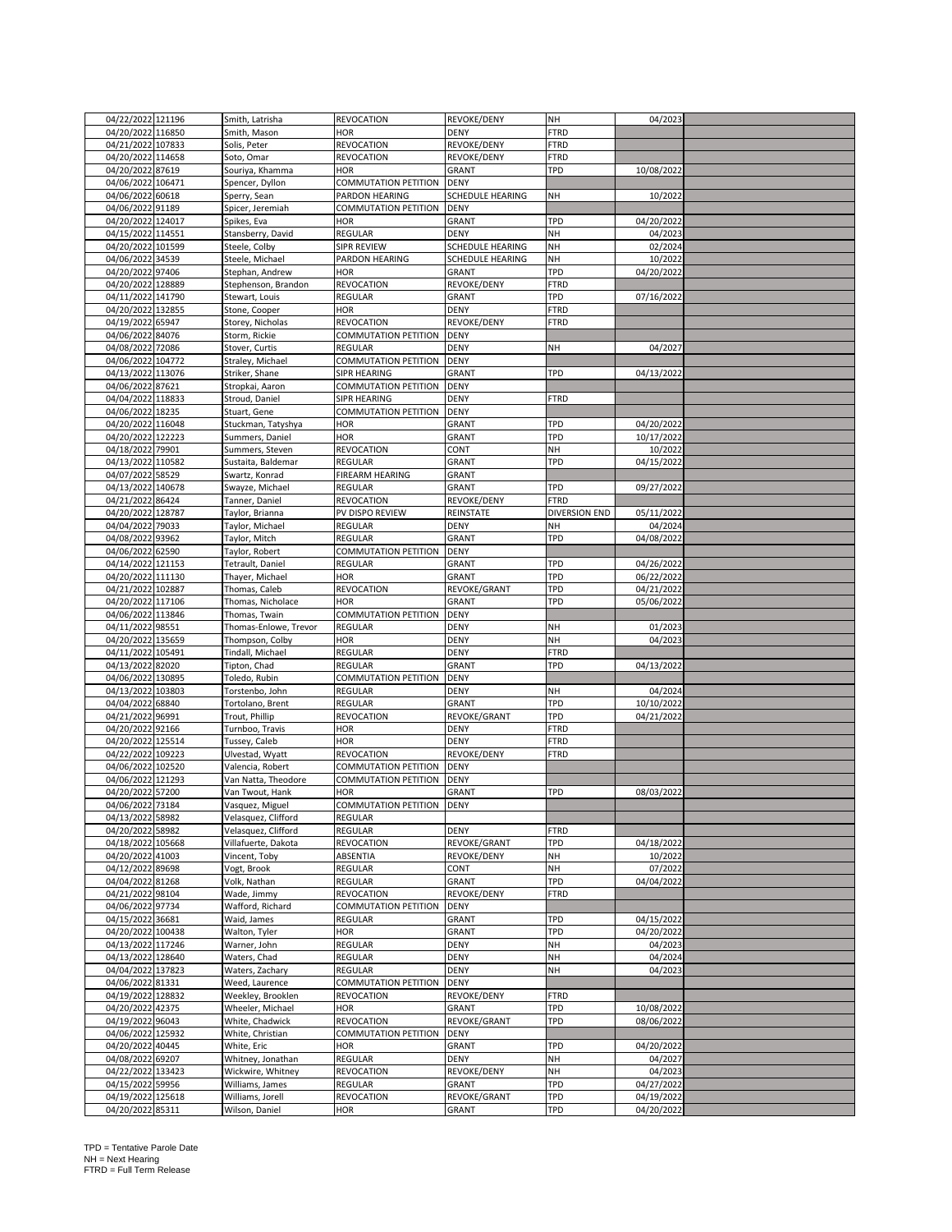| 04/22/2022 121196                     |                                    |                             |                       |                      |                          |  |
|---------------------------------------|------------------------------------|-----------------------------|-----------------------|----------------------|--------------------------|--|
|                                       | Smith, Latrisha                    | REVOCATION                  | REVOKE/DENY           | NH                   | 04/2023                  |  |
| 04/20/2022 116850                     | Smith, Mason                       | <b>HOR</b>                  | <b>DENY</b>           | <b>FTRD</b>          |                          |  |
| 04/21/2022 107833                     | Solis, Peter                       | REVOCATION                  | REVOKE/DENY           | <b>FTRD</b>          |                          |  |
|                                       |                                    |                             |                       |                      |                          |  |
| 04/20/2022 114658                     | Soto, Omar                         | REVOCATION                  | REVOKE/DENY           | <b>FTRD</b>          |                          |  |
| 04/20/2022 87619                      | Souriya, Khamma                    | HOR                         | <b>GRANT</b>          | TPD                  | 10/08/2022               |  |
| 04/06/2022 106471                     | Spencer, Dyllon                    | COMMUTATION PETITION        | DENY                  |                      |                          |  |
|                                       |                                    |                             |                       |                      |                          |  |
| 04/06/2022 60618                      | Sperry, Sean                       | PARDON HEARING              | SCHEDULE HEARING      | NΗ                   | 10/2022                  |  |
| 04/06/2022 91189                      | Spicer, Jeremiah                   | COMMUTATION PETITION        | <b>DENY</b>           |                      |                          |  |
| 04/20/2022 124017                     | Spikes, Eva                        | <b>HOR</b>                  | GRANT                 | TPD                  | 04/20/2022               |  |
|                                       |                                    |                             |                       |                      |                          |  |
| 04/15/2022 114551                     | Stansberry, David                  | REGULAR                     | <b>DENY</b>           | NH                   | 04/2023                  |  |
| 04/20/2022 101599                     | Steele, Colby                      | <b>SIPR REVIEW</b>          | SCHEDULE HEARING      | NH                   | 02/2024                  |  |
|                                       |                                    |                             |                       | NH                   |                          |  |
| 04/06/2022<br>34539                   | Steele, Michael                    | PARDON HEARING              | SCHEDULE HEARING      |                      | 10/2022                  |  |
| 04/20/2022 97406                      | Stephan, Andrew                    | <b>HOR</b>                  | GRANT                 | <b>TPD</b>           | 04/20/2022               |  |
| 04/20/2022 128889                     | Stephenson, Brandon                | REVOCATION                  | REVOKE/DENY           | FTRD                 |                          |  |
|                                       |                                    |                             |                       | TPD                  | 07/16/2022               |  |
| 04/11/2022<br>141790                  | Stewart, Louis                     | REGULAR                     | <b>GRANT</b>          |                      |                          |  |
| 04/20/2022 132855                     | Stone, Cooper                      | HOR                         | <b>DENY</b>           | FTRD                 |                          |  |
| 04/19/2022 65947                      | Storey, Nicholas                   | REVOCATION                  | REVOKE/DENY           | FTRD                 |                          |  |
|                                       |                                    |                             |                       |                      |                          |  |
| 04/06/2022 84076                      | Storm, Rickie                      | COMMUTATION PETITION        | <b>DENY</b>           |                      |                          |  |
| 04/08/2022 72086                      | Stover, Curtis                     | <b>REGULAR</b>              | <b>DENY</b>           | NH                   | 04/2027                  |  |
| 04/06/2022 104772                     | Straley, Michael                   | COMMUTATION PETITION        | <b>DENY</b>           |                      |                          |  |
|                                       |                                    |                             |                       |                      |                          |  |
| 04/13/2022 113076                     | Striker, Shane                     | SIPR HEARING                | <b>GRANT</b>          | TPD                  | 04/13/2022               |  |
| 04/06/2022 87621                      | Stropkai, Aaron                    | COMMUTATION PETITION        | DENY                  |                      |                          |  |
| 04/04/2022 118833                     | Stroud, Daniel                     | SIPR HEARING                | <b>DENY</b>           | FTRD                 |                          |  |
|                                       |                                    |                             |                       |                      |                          |  |
| 04/06/2022 18235                      | Stuart, Gene                       | COMMUTATION PETITION        | DENY                  |                      |                          |  |
| 04/20/2022 116048                     | Stuckman, Tatyshya                 | <b>HOR</b>                  | GRANT                 | TPD                  | 04/20/2022               |  |
| 04/20/2022 122223                     | Summers, Daniel                    | HOR                         | <b>GRANT</b>          | TPD                  | 10/17/2022               |  |
|                                       |                                    |                             |                       |                      |                          |  |
| 04/18/2022 79901                      | Summers, Steven                    | REVOCATION                  | CONT                  | NH                   | 10/2022                  |  |
| 04/13/2022 110582                     | Sustaita, Baldemar                 | <b>REGULAR</b>              | GRANT                 | TPD                  | 04/15/2022               |  |
| 04/07/2022 58529                      | Swartz, Konrad                     | FIREARM HEARING             | <b>GRANT</b>          |                      |                          |  |
|                                       |                                    |                             |                       |                      |                          |  |
| 04/13/2022 140678                     | Swayze, Michael                    | REGULAR                     | GRANT                 | TPD                  | 09/27/2022               |  |
| 04/21/2022 86424                      | Tanner, Daniel                     | REVOCATION                  | REVOKE/DENY           | <b>FTRD</b>          |                          |  |
| 04/20/2022 128787                     | Taylor, Brianna                    | PV DISPO REVIEW             | REINSTATE             | <b>DIVERSION END</b> | 05/11/2022               |  |
|                                       |                                    |                             |                       |                      |                          |  |
| 04/04/2022 79033                      | Taylor, Michael                    | REGULAR                     | DENY                  | NH                   | 04/2024                  |  |
| 04/08/2022<br>93962                   | Taylor, Mitch                      | REGULAR                     | GRANT                 | TPD                  | 04/08/2022               |  |
|                                       |                                    |                             |                       |                      |                          |  |
| 04/06/2022 62590                      | Taylor, Robert                     | COMMUTATION PETITION        | <b>DENY</b>           |                      |                          |  |
| 04/14/2022 121153                     | Tetrault, Daniel                   | REGULAR                     | <b>GRANT</b>          | TPD                  | 04/26/2022               |  |
| 04/20/2022 111130                     | Thayer, Michael                    | <b>HOR</b>                  | GRANT                 | TPD                  | 06/22/2022               |  |
|                                       |                                    |                             |                       |                      |                          |  |
| 04/21/2022 102887                     | Thomas, Caleb                      | REVOCATION                  | REVOKE/GRANT          | TPD                  | 04/21/2022               |  |
| 04/20/2022 117106                     | Thomas, Nicholace                  | <b>HOR</b>                  | GRANT                 | TPD                  | 05/06/2022               |  |
| 04/06/2022 113846                     | Thomas, Twain                      | COMMUTATION PETITION        | DENY                  |                      |                          |  |
|                                       |                                    |                             |                       |                      |                          |  |
| 04/11/2022 98551                      | Thomas-Enlowe, Trevor              | REGULAR                     | DENY                  | NH                   | 01/2023                  |  |
| 04/20/2022 135659                     | Thompson, Colby                    | <b>HOR</b>                  | DENY                  | NH                   | 04/2023                  |  |
| 04/11/2022 105491                     | Tindall, Michael                   | REGULAR                     | <b>DENY</b>           | FTRD                 |                          |  |
|                                       |                                    |                             |                       |                      |                          |  |
| 04/13/2022 82020                      | Tipton, Chad                       | REGULAR                     | GRANT                 | TPD                  | 04/13/2022               |  |
| 04/06/2022 130895                     | Toledo, Rubin                      | COMMUTATION PETITION        | <b>DENY</b>           |                      |                          |  |
| 04/13/2022 103803                     |                                    | <b>REGULAR</b>              |                       | NH                   |                          |  |
|                                       | Torstenbo, John                    |                             | DENY                  |                      | 04/2024                  |  |
| 04/04/2022 68840                      | Tortolano, Brent                   | REGULAR                     | GRANT                 | TPD                  | 10/10/2022               |  |
|                                       |                                    | REVOCATION                  | REVOKE/GRANT          | TPD                  |                          |  |
|                                       |                                    |                             |                       |                      |                          |  |
| 04/21/2022 96991                      | Trout, Phillip                     |                             |                       |                      | 04/21/2022               |  |
| 04/20/2022 92166                      | Turnboo, Travis                    | <b>HOR</b>                  | DENY                  | <b>FTRD</b>          |                          |  |
| 04/20/2022 125514                     | Tussey, Caleb                      | <b>HOR</b>                  | <b>DENY</b>           | <b>FTRD</b>          |                          |  |
|                                       |                                    |                             |                       |                      |                          |  |
| 04/22/2022 109223                     | Ulvestad, Wyatt                    | REVOCATION                  | REVOKE/DENY           | FTRD                 |                          |  |
| 04/06/2022 102520                     | Valencia, Robert                   | COMMUTATION PETITION        | <b>DENY</b>           |                      |                          |  |
| 04/06/2022 121293                     | Van Natta, Theodore                | COMMUTATION PETITION        | <b>DENY</b>           |                      |                          |  |
|                                       |                                    |                             |                       |                      |                          |  |
| 04/20/2022 57200                      | Van Twout, Hank                    | <b>HOR</b>                  | GRANT                 | TPD                  | 08/03/2022               |  |
| 04/06/2022 73184                      | Vasquez, Miguel                    | COMMUTATION PETITION        | <b>DENY</b>           |                      |                          |  |
| 04/13/2022 58982                      | Velasquez, Clifford                | REGULAR                     |                       |                      |                          |  |
| 04/20/2022 58982                      | Velasquez, Clifford                | REGULAR                     | DENY                  | FTRD                 |                          |  |
|                                       |                                    |                             |                       |                      |                          |  |
| 04/18/2022 105668                     | Villafuerte, Dakota                | REVOCATION                  | REVOKE/GRANT          | TPD                  | 04/18/2022               |  |
| 04/20/2022 41003                      | Vincent, Toby                      | ABSENTIA                    | REVOKE/DENY           | NH                   | 10/2022                  |  |
|                                       |                                    |                             | CONT                  |                      |                          |  |
| 04/12/2022<br>89698                   | Vogt, Brook                        | REGULAR                     |                       | NΗ                   | 07/2022                  |  |
| 04/04/2022 81268                      | Volk, Nathan                       | REGULAR                     | <b>GRANT</b>          | TPD                  | 04/04/2022               |  |
| 04/21/2022 98104                      | Wade, Jimmy                        | <b>REVOCATION</b>           | REVOKE/DENY           | <b>FTRD</b>          |                          |  |
| 04/06/2022 97734                      |                                    | <b>COMMUTATION PETITION</b> | <b>DENY</b>           |                      |                          |  |
|                                       | Wafford, Richard                   |                             |                       |                      |                          |  |
| 04/15/2022 36681                      | Waid, James                        | REGULAR                     | <b>GRANT</b>          | TPD                  | 04/15/2022               |  |
| 04/20/2022<br>100438                  | Walton, Tyler                      | HOR                         | <b>GRANT</b>          | TPD                  | 04/20/2022               |  |
|                                       |                                    |                             |                       | NH                   |                          |  |
| 04/13/2022 117246                     | Warner, John                       | REGULAR                     | DENY                  |                      | 04/2023                  |  |
| 04/13/2022 128640                     | Waters, Chad                       | REGULAR                     | <b>DENY</b>           | NH                   | 04/2024                  |  |
| 04/04/2022 137823                     | Waters, Zachary                    | REGULAR                     | DENY                  | NH                   | 04/2023                  |  |
|                                       |                                    |                             |                       |                      |                          |  |
| 04/06/2022 81331                      | Weed, Laurence                     | COMMUTATION PETITION        | <b>DENY</b>           |                      |                          |  |
| 04/19/2022 128832                     | Weekley, Brooklen                  | <b>REVOCATION</b>           | REVOKE/DENY           | <b>FTRD</b>          |                          |  |
| 04/20/2022<br>42375                   | Wheeler, Michael                   | <b>HOR</b>                  | GRANT                 | TPD                  | 10/08/2022               |  |
|                                       |                                    |                             |                       |                      |                          |  |
| 04/19/2022 96043                      | White, Chadwick                    | REVOCATION                  | REVOKE/GRANT          | TPD                  | 08/06/2022               |  |
| 04/06/2022<br>125932                  | White, Christian                   | COMMUTATION PETITION        | <b>DENY</b>           |                      |                          |  |
| 04/20/2022 40445                      | White, Eric                        | <b>HOR</b>                  | <b>GRANT</b>          | <b>TPD</b>           | 04/20/2022               |  |
|                                       |                                    |                             |                       |                      |                          |  |
| 04/08/2022 69207                      | Whitney, Jonathan                  | REGULAR                     | <b>DENY</b>           | NH                   | 04/2027                  |  |
| 04/22/2022 133423                     | Wickwire, Whitney                  | REVOCATION                  | REVOKE/DENY           | NH                   | 04/2023                  |  |
|                                       | Williams, James                    | REGULAR                     | GRANT                 | TPD                  |                          |  |
| 04/15/2022 59956                      |                                    |                             |                       |                      | 04/27/2022               |  |
| 04/19/2022 125618<br>04/20/2022 85311 | Williams, Jorell<br>Wilson, Daniel | REVOCATION<br><b>HOR</b>    | REVOKE/GRANT<br>GRANT | TPD<br>TPD           | 04/19/2022<br>04/20/2022 |  |